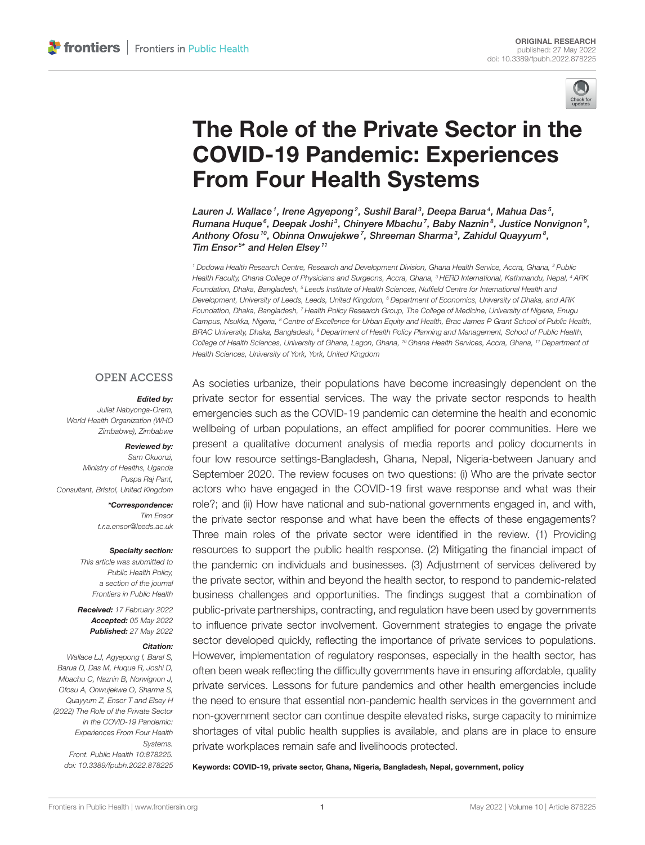

# [The Role of the Private Sector in the](https://www.frontiersin.org/articles/10.3389/fpubh.2022.878225/full) COVID-19 Pandemic: Experiences From Four Health Systems

Lauren J. Wallace 1, Irene Agyepong 2, Sushil Baral 3, Deepa Barua 4, Mahua Das 5, Rumana Huque $^6$ , Deepak Joshi $^3$ , Chinyere Mbachu $^7$ , Baby Naznin $^8$ , Justice Nonvignon $^9$ , Anthony Ofosu <sup>10</sup>, Obinna Onwujekwe <sup>7</sup>, Shreeman Sharma <sup>3</sup>, Zahidul Quayyum <sup>8</sup>, Tim Ensor<sup>5\*</sup> and Helen Elsey<sup>11</sup>

*<sup>1</sup> Dodowa Health Research Centre, Research and Development Division, Ghana Health Service, Accra, Ghana, <sup>2</sup> Public Health Faculty, Ghana College of Physicians and Surgeons, Accra, Ghana, <sup>3</sup> HERD International, Kathmandu, Nepal, <sup>4</sup> ARK Foundation, Dhaka, Bangladesh, <sup>5</sup> Leeds Institute of Health Sciences, Nuffield Centre for International Health and Development, University of Leeds, Leeds, United Kingdom, <sup>6</sup> Department of Economics, University of Dhaka, and ARK Foundation, Dhaka, Bangladesh, <sup>7</sup> Health Policy Research Group, The College of Medicine, University of Nigeria, Enugu Campus, Nsukka, Nigeria, <sup>8</sup> Centre of Excellence for Urban Equity and Health, Brac James P Grant School of Public Health, BRAC University, Dhaka, Bangladesh, <sup>9</sup> Department of Health Policy Planning and Management, School of Public Health, College of Health Sciences, University of Ghana, Legon, Ghana, <sup>10</sup> Ghana Health Services, Accra, Ghana, <sup>11</sup> Department of Health Sciences, University of York, York, United Kingdom*

#### **OPEN ACCESS**

#### Edited by:

*Juliet Nabyonga-Orem, World Health Organization (WHO Zimbabwe), Zimbabwe*

#### Reviewed by:

*Sam Okuonzi, Ministry of Healths, Uganda Puspa Raj Pant, Consultant, Bristol, United Kingdom*

> \*Correspondence: *Tim Ensor [t.r.a.ensor@leeds.ac.uk](mailto:t.r.a.ensor@leeds.ac.uk)*

#### Specialty section:

*This article was submitted to Public Health Policy, a section of the journal Frontiers in Public Health*

Received: *17 February 2022* Accepted: *05 May 2022* Published: *27 May 2022*

#### Citation:

*Wallace LJ, Agyepong I, Baral S, Barua D, Das M, Huque R, Joshi D, Mbachu C, Naznin B, Nonvignon J, Ofosu A, Onwujekwe O, Sharma S, Quayyum Z, Ensor T and Elsey H (2022) The Role of the Private Sector in the COVID-19 Pandemic: Experiences From Four Health Systems. Front. Public Health 10:878225. doi: [10.3389/fpubh.2022.878225](https://doi.org/10.3389/fpubh.2022.878225)* As societies urbanize, their populations have become increasingly dependent on the private sector for essential services. The way the private sector responds to health emergencies such as the COVID-19 pandemic can determine the health and economic wellbeing of urban populations, an effect amplified for poorer communities. Here we present a qualitative document analysis of media reports and policy documents in four low resource settings-Bangladesh, Ghana, Nepal, Nigeria-between January and September 2020. The review focuses on two questions: (i) Who are the private sector actors who have engaged in the COVID-19 first wave response and what was their role?; and (ii) How have national and sub-national governments engaged in, and with, the private sector response and what have been the effects of these engagements? Three main roles of the private sector were identified in the review. (1) Providing resources to support the public health response. (2) Mitigating the financial impact of the pandemic on individuals and businesses. (3) Adjustment of services delivered by the private sector, within and beyond the health sector, to respond to pandemic-related business challenges and opportunities. The findings suggest that a combination of public-private partnerships, contracting, and regulation have been used by governments to influence private sector involvement. Government strategies to engage the private sector developed quickly, reflecting the importance of private services to populations. However, implementation of regulatory responses, especially in the health sector, has often been weak reflecting the difficulty governments have in ensuring affordable, quality private services. Lessons for future pandemics and other health emergencies include the need to ensure that essential non-pandemic health services in the government and non-government sector can continue despite elevated risks, surge capacity to minimize shortages of vital public health supplies is available, and plans are in place to ensure private workplaces remain safe and livelihoods protected.

Keywords: COVID-19, private sector, Ghana, Nigeria, Bangladesh, Nepal, government, policy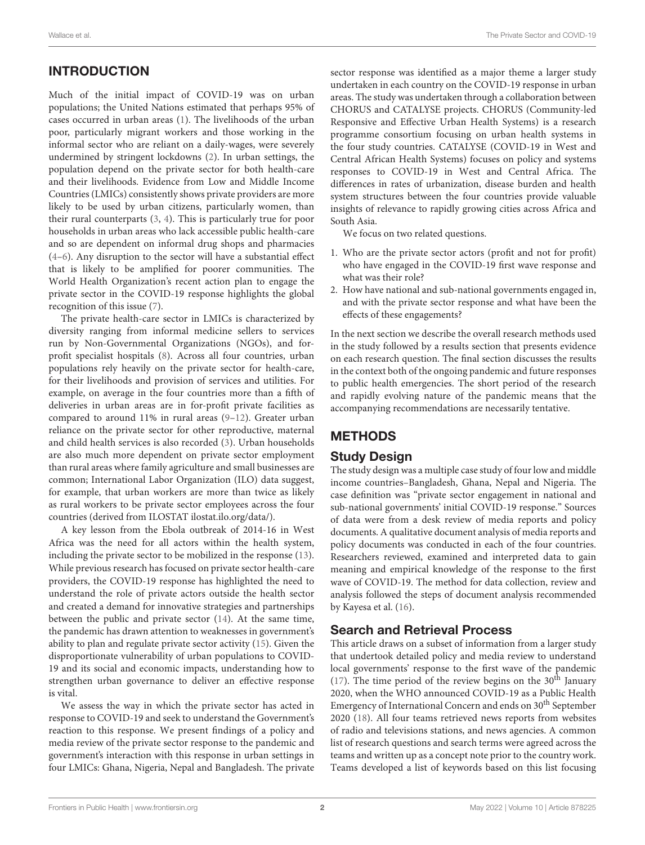# INTRODUCTION

Much of the initial impact of COVID-19 was on urban populations; the United Nations estimated that perhaps 95% of cases occurred in urban areas [\(1\)](#page-11-0). The livelihoods of the urban poor, particularly migrant workers and those working in the informal sector who are reliant on a daily-wages, were severely undermined by stringent lockdowns [\(2\)](#page-11-1). In urban settings, the population depend on the private sector for both health-care and their livelihoods. Evidence from Low and Middle Income Countries (LMICs) consistently shows private providers are more likely to be used by urban citizens, particularly women, than their rural counterparts [\(3,](#page-11-2) [4\)](#page-11-3). This is particularly true for poor households in urban areas who lack accessible public health-care and so are dependent on informal drug shops and pharmacies [\(4–](#page-11-3)[6\)](#page-11-4). Any disruption to the sector will have a substantial effect that is likely to be amplified for poorer communities. The World Health Organization's recent action plan to engage the private sector in the COVID-19 response highlights the global recognition of this issue [\(7\)](#page-11-5).

The private health-care sector in LMICs is characterized by diversity ranging from informal medicine sellers to services run by Non-Governmental Organizations (NGOs), and forprofit specialist hospitals [\(8\)](#page-11-6). Across all four countries, urban populations rely heavily on the private sector for health-care, for their livelihoods and provision of services and utilities. For example, on average in the four countries more than a fifth of deliveries in urban areas are in for-profit private facilities as compared to around 11% in rural areas [\(9](#page-11-7)[–12\)](#page-11-8). Greater urban reliance on the private sector for other reproductive, maternal and child health services is also recorded [\(3\)](#page-11-2). Urban households are also much more dependent on private sector employment than rural areas where family agriculture and small businesses are common; International Labor Organization (ILO) data suggest, for example, that urban workers are more than twice as likely as rural workers to be private sector employees across the four countries (derived from ILOSTAT [ilostat.ilo.org/data/\)](https://ilostat.ilo.org/data/).

A key lesson from the Ebola outbreak of 2014-16 in West Africa was the need for all actors within the health system, including the private sector to be mobilized in the response [\(13\)](#page-11-9). While previous research has focused on private sector health-care providers, the COVID-19 response has highlighted the need to understand the role of private actors outside the health sector and created a demand for innovative strategies and partnerships between the public and private sector [\(14\)](#page-11-10). At the same time, the pandemic has drawn attention to weaknesses in government's ability to plan and regulate private sector activity [\(15\)](#page-11-11). Given the disproportionate vulnerability of urban populations to COVID-19 and its social and economic impacts, understanding how to strengthen urban governance to deliver an effective response is vital.

We assess the way in which the private sector has acted in response to COVID-19 and seek to understand the Government's reaction to this response. We present findings of a policy and media review of the private sector response to the pandemic and government's interaction with this response in urban settings in four LMICs: Ghana, Nigeria, Nepal and Bangladesh. The private sector response was identified as a major theme a larger study undertaken in each country on the COVID-19 response in urban areas. The study was undertaken through a collaboration between CHORUS and CATALYSE projects. CHORUS (Community-led Responsive and Effective Urban Health Systems) is a research programme consortium focusing on urban health systems in the four study countries. CATALYSE (COVID-19 in West and Central African Health Systems) focuses on policy and systems responses to COVID-19 in West and Central Africa. The differences in rates of urbanization, disease burden and health system structures between the four countries provide valuable insights of relevance to rapidly growing cities across Africa and South Asia.

We focus on two related questions.

- 1. Who are the private sector actors (profit and not for profit) who have engaged in the COVID-19 first wave response and what was their role?
- 2. How have national and sub-national governments engaged in, and with the private sector response and what have been the effects of these engagements?

In the next section we describe the overall research methods used in the study followed by a results section that presents evidence on each research question. The final section discusses the results in the context both of the ongoing pandemic and future responses to public health emergencies. The short period of the research and rapidly evolving nature of the pandemic means that the accompanying recommendations are necessarily tentative.

# **METHODS**

# Study Design

The study design was a multiple case study of four low and middle income countries–Bangladesh, Ghana, Nepal and Nigeria. The case definition was "private sector engagement in national and sub-national governments' initial COVID-19 response." Sources of data were from a desk review of media reports and policy documents. A qualitative document analysis of media reports and policy documents was conducted in each of the four countries. Researchers reviewed, examined and interpreted data to gain meaning and empirical knowledge of the response to the first wave of COVID-19. The method for data collection, review and analysis followed the steps of document analysis recommended by Kayesa et al. [\(16\)](#page-11-12).

# Search and Retrieval Process

This article draws on a subset of information from a larger study that undertook detailed policy and media review to understand local governments' response to the first wave of the pandemic [\(17\)](#page-11-13). The time period of the review begins on the  $30<sup>th</sup>$  January 2020, when the WHO announced COVID-19 as a Public Health Emergency of International Concern and ends on 30<sup>th</sup> September 2020 [\(18\)](#page-11-14). All four teams retrieved news reports from websites of radio and televisions stations, and news agencies. A common list of research questions and search terms were agreed across the teams and written up as a concept note prior to the country work. Teams developed a list of keywords based on this list focusing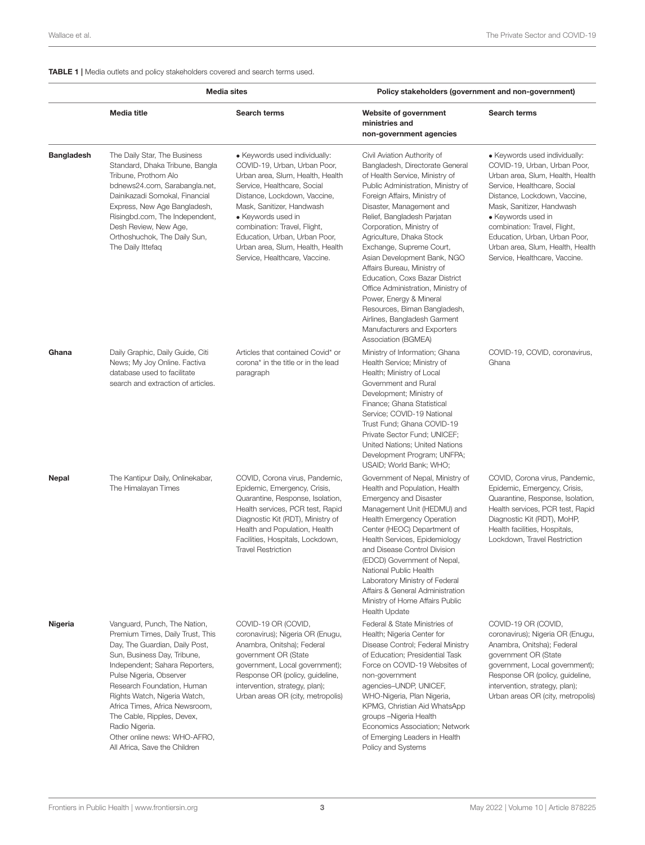#### <span id="page-2-0"></span>TABLE 1 | Media outlets and policy stakeholders covered and search terms used.

|                   | <b>Media sites</b>                                                                                                                                                                                                                                                                                                                                                                                              |                                                                                                                                                                                                                                                                                                                                                           | Policy stakeholders (government and non-government)                                                                                                                                                                                                                                                                                                                                                                                                                                                                                                                                                          |                                                                                                                                                                                                                                                                                                                                                           |  |
|-------------------|-----------------------------------------------------------------------------------------------------------------------------------------------------------------------------------------------------------------------------------------------------------------------------------------------------------------------------------------------------------------------------------------------------------------|-----------------------------------------------------------------------------------------------------------------------------------------------------------------------------------------------------------------------------------------------------------------------------------------------------------------------------------------------------------|--------------------------------------------------------------------------------------------------------------------------------------------------------------------------------------------------------------------------------------------------------------------------------------------------------------------------------------------------------------------------------------------------------------------------------------------------------------------------------------------------------------------------------------------------------------------------------------------------------------|-----------------------------------------------------------------------------------------------------------------------------------------------------------------------------------------------------------------------------------------------------------------------------------------------------------------------------------------------------------|--|
|                   | Media title                                                                                                                                                                                                                                                                                                                                                                                                     | <b>Search terms</b>                                                                                                                                                                                                                                                                                                                                       | Website of government<br>ministries and<br>non-government agencies                                                                                                                                                                                                                                                                                                                                                                                                                                                                                                                                           | Search terms                                                                                                                                                                                                                                                                                                                                              |  |
| <b>Bangladesh</b> | The Daily Star, The Business<br>Standard, Dhaka Tribune, Bangla<br>Tribune, Prothom Alo<br>bdnews24.com, Sarabangla.net,<br>Dainikazadi Somokal, Financial<br>Express, New Age Bangladesh,<br>Risingbd.com, The Independent,<br>Desh Review, New Age,<br>Orthoshuchok, The Daily Sun,<br>The Daily Ittefaq                                                                                                      | • Keywords used individually:<br>COVID-19, Urban, Urban Poor,<br>Urban area, Slum, Health, Health<br>Service, Healthcare, Social<br>Distance, Lockdown, Vaccine,<br>Mask, Sanitizer, Handwash<br>• Keywords used in<br>combination: Travel, Flight,<br>Education, Urban, Urban Poor,<br>Urban area, Slum, Health, Health<br>Service, Healthcare, Vaccine. | Civil Aviation Authority of<br>Bangladesh, Directorate General<br>of Health Service, Ministry of<br>Public Administration, Ministry of<br>Foreign Affairs, Ministry of<br>Disaster, Management and<br>Relief, Bangladesh Parjatan<br>Corporation, Ministry of<br>Agriculture, Dhaka Stock<br>Exchange, Supreme Court,<br>Asian Development Bank, NGO<br>Affairs Bureau, Ministry of<br>Education, Coxs Bazar District<br>Office Administration, Ministry of<br>Power, Energy & Mineral<br>Resources, Biman Bangladesh,<br>Airlines, Bangladesh Garment<br>Manufacturers and Exporters<br>Association (BGMEA) | • Keywords used individually:<br>COVID-19, Urban, Urban Poor,<br>Urban area, Slum, Health, Health<br>Service, Healthcare, Social<br>Distance, Lockdown, Vaccine,<br>Mask, Sanitizer, Handwash<br>• Keywords used in<br>combination: Travel, Flight,<br>Education, Urban, Urban Poor,<br>Urban area, Slum, Health, Health<br>Service, Healthcare, Vaccine. |  |
| Ghana             | Daily Graphic, Daily Guide, Citi<br>News; My Joy Online. Factiva<br>database used to facilitate<br>search and extraction of articles.                                                                                                                                                                                                                                                                           | Articles that contained Covid* or<br>corona* in the title or in the lead<br>paragraph                                                                                                                                                                                                                                                                     | Ministry of Information; Ghana<br>Health Service; Ministry of<br>Health; Ministry of Local<br>Government and Rural<br>Development; Ministry of<br>Finance; Ghana Statistical<br>Service; COVID-19 National<br>Trust Fund; Ghana COVID-19<br>Private Sector Fund; UNICEF;<br>United Nations; United Nations<br>Development Program; UNFPA;<br>USAID; World Bank; WHO;                                                                                                                                                                                                                                         | COVID-19, COVID, coronavirus,<br>Ghana                                                                                                                                                                                                                                                                                                                    |  |
| Nepal             | The Kantipur Daily, Onlinekabar,<br>The Himalayan Times                                                                                                                                                                                                                                                                                                                                                         | COVID, Corona virus, Pandemic,<br>Epidemic, Emergency, Crisis,<br>Quarantine, Response, Isolation,<br>Health services, PCR test, Rapid<br>Diagnostic Kit (RDT), Ministry of<br>Health and Population, Health<br>Facilities, Hospitals, Lockdown,<br><b>Travel Restriction</b>                                                                             | Government of Nepal, Ministry of<br>Health and Population, Health<br><b>Emergency and Disaster</b><br>Management Unit (HEDMU) and<br><b>Health Emergency Operation</b><br>Center (HEOC) Department of<br>Health Services, Epidemiology<br>and Disease Control Division<br>(EDCD) Government of Nepal,<br>National Public Health<br>Laboratory Ministry of Federal<br>Affairs & General Administration<br>Ministry of Home Affairs Public<br><b>Health Update</b>                                                                                                                                             | COVID, Corona virus, Pandemic,<br>Epidemic, Emergency, Crisis,<br>Quarantine, Response, Isolation,<br>Health services, PCR test, Rapid<br>Diagnostic Kit (RDT), MoHP,<br>Health facilities, Hospitals,<br>Lockdown, Travel Restriction                                                                                                                    |  |
| Nigeria           | Vanguard, Punch, The Nation,<br>Premium Times, Daily Trust, This<br>Day, The Guardian, Daily Post,<br>Sun, Business Day, Tribune,<br>Independent; Sahara Reporters,<br>Pulse Nigeria, Observer<br>Research Foundation, Human<br>Rights Watch, Nigeria Watch,<br>Africa Times, Africa Newsroom,<br>The Cable, Ripples, Devex,<br>Radio Nigeria.<br>Other online news: WHO-AFRO,<br>All Africa, Save the Children | COVID-19 OR (COVID,<br>coronavirus); Nigeria OR (Enugu,<br>Anambra, Onitsha); Federal<br>government OR (State<br>government, Local government);<br>Response OR (policy, guideline,<br>intervention, strategy, plan);<br>Urban areas OR (city, metropolis)                                                                                                 | Federal & State Ministries of<br>Health; Nigeria Center for<br>Disease Control; Federal Ministry<br>of Education; Presidential Task<br>Force on COVID-19 Websites of<br>non-government<br>agencies-UNDP, UNICEF,<br>WHO-Nigeria, Plan Nigeria,<br>KPMG, Christian Aid WhatsApp<br>groups -Nigeria Health<br>Economics Association; Network<br>of Emerging Leaders in Health<br>Policy and Systems                                                                                                                                                                                                            | COVID-19 OR (COVID,<br>coronavirus); Nigeria OR (Enugu,<br>Anambra, Onitsha); Federal<br>government OR (State<br>government, Local government);<br>Response OR (policy, guideline,<br>intervention, strategy, plan);<br>Urban areas OR (city, metropolis)                                                                                                 |  |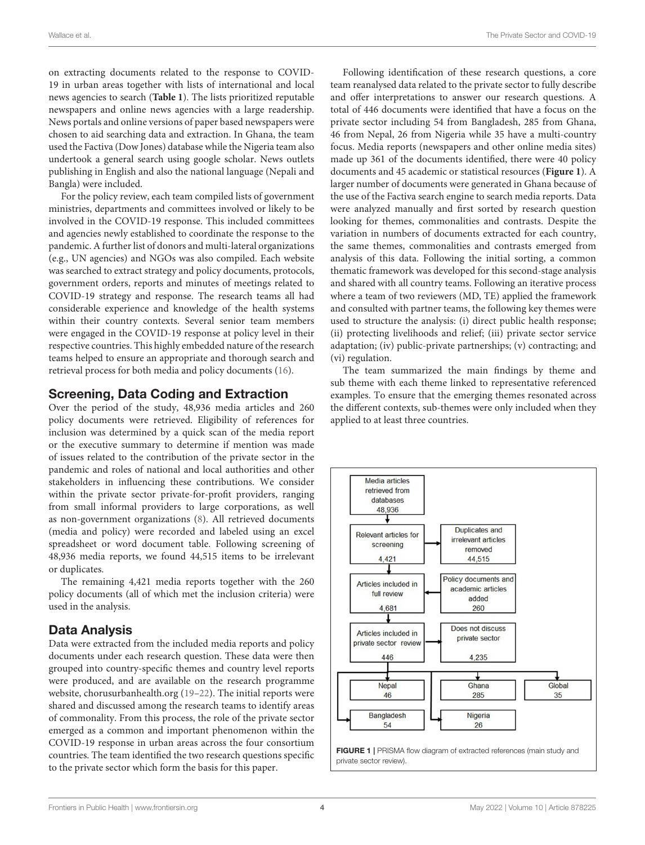on extracting documents related to the response to COVID-19 in urban areas together with lists of international and local news agencies to search (**[Table 1](#page-2-0)**). The lists prioritized reputable newspapers and online news agencies with a large readership. News portals and online versions of paper based newspapers were chosen to aid searching data and extraction. In Ghana, the team used the Factiva (Dow Jones) database while the Nigeria team also undertook a general search using google scholar. News outlets publishing in English and also the national language (Nepali and Bangla) were included.

For the policy review, each team compiled lists of government ministries, departments and committees involved or likely to be involved in the COVID-19 response. This included committees and agencies newly established to coordinate the response to the pandemic. A further list of donors and multi-lateral organizations (e.g., UN agencies) and NGOs was also compiled. Each website was searched to extract strategy and policy documents, protocols, government orders, reports and minutes of meetings related to COVID-19 strategy and response. The research teams all had considerable experience and knowledge of the health systems within their country contexts. Several senior team members were engaged in the COVID-19 response at policy level in their respective countries. This highly embedded nature of the research teams helped to ensure an appropriate and thorough search and retrieval process for both media and policy documents [\(16\)](#page-11-12).

### Screening, Data Coding and Extraction

Over the period of the study, 48,936 media articles and 260 policy documents were retrieved. Eligibility of references for inclusion was determined by a quick scan of the media report or the executive summary to determine if mention was made of issues related to the contribution of the private sector in the pandemic and roles of national and local authorities and other stakeholders in influencing these contributions. We consider within the private sector private-for-profit providers, ranging from small informal providers to large corporations, as well as non-government organizations [\(8\)](#page-11-6). All retrieved documents (media and policy) were recorded and labeled using an excel spreadsheet or word document table. Following screening of 48,936 media reports, we found 44,515 items to be irrelevant or duplicates.

The remaining 4,421 media reports together with the 260 policy documents (all of which met the inclusion criteria) were used in the analysis.

#### Data Analysis

Data were extracted from the included media reports and policy documents under each research question. These data were then grouped into country-specific themes and country level reports were produced, and are available on the research programme website, chorusurbanhealth.org [\(19](#page-11-15)[–22\)](#page-11-16). The initial reports were shared and discussed among the research teams to identify areas of commonality. From this process, the role of the private sector emerged as a common and important phenomenon within the COVID-19 response in urban areas across the four consortium countries. The team identified the two research questions specific to the private sector which form the basis for this paper.

Following identification of these research questions, a core team reanalysed data related to the private sector to fully describe and offer interpretations to answer our research questions. A total of 446 documents were identified that have a focus on the private sector including 54 from Bangladesh, 285 from Ghana, 46 from Nepal, 26 from Nigeria while 35 have a multi-country focus. Media reports (newspapers and other online media sites) made up 361 of the documents identified, there were 40 policy documents and 45 academic or statistical resources (**[Figure 1](#page-3-0)**). A larger number of documents were generated in Ghana because of the use of the Factiva search engine to search media reports. Data were analyzed manually and first sorted by research question looking for themes, commonalities and contrasts. Despite the variation in numbers of documents extracted for each country, the same themes, commonalities and contrasts emerged from analysis of this data. Following the initial sorting, a common thematic framework was developed for this second-stage analysis and shared with all country teams. Following an iterative process where a team of two reviewers (MD, TE) applied the framework and consulted with partner teams, the following key themes were used to structure the analysis: (i) direct public health response; (ii) protecting livelihoods and relief; (iii) private sector service adaptation; (iv) public-private partnerships; (v) contracting; and (vi) regulation.

The team summarized the main findings by theme and sub theme with each theme linked to representative referenced examples. To ensure that the emerging themes resonated across the different contexts, sub-themes were only included when they applied to at least three countries.

<span id="page-3-0"></span>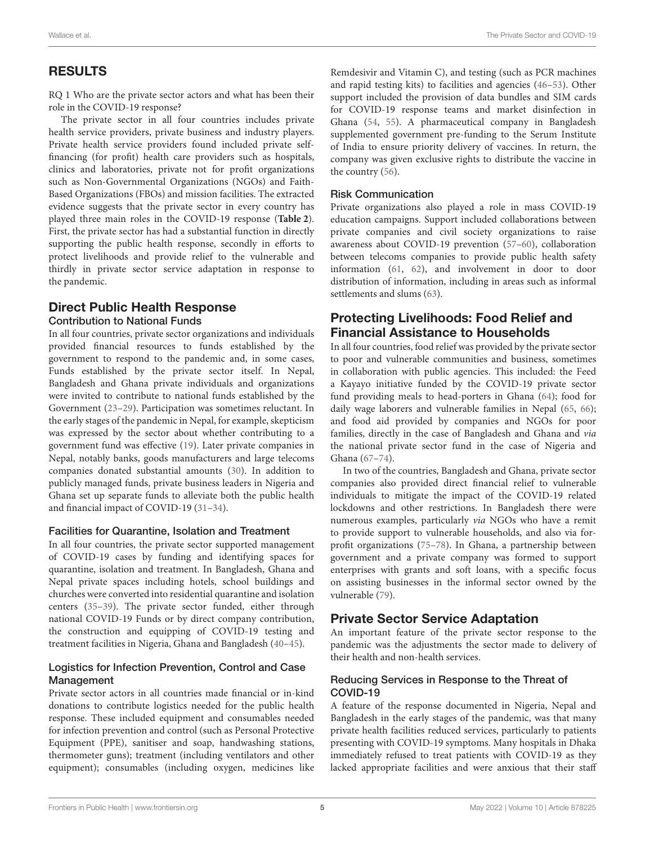# RESULTS

RQ 1 Who are the private sector actors and what has been their role in the COVID-19 response?

The private sector in all four countries includes private health service providers, private business and industry players. Private health service providers found included private selffinancing (for profit) health care providers such as hospitals, clinics and laboratories, private not for profit organizations such as Non-Governmental Organizations (NGOs) and Faith-Based Organizations (FBOs) and mission facilities. The extracted evidence suggests that the private sector in every country has played three main roles in the COVID-19 response (**[Table 2](#page-5-0)**). First, the private sector has had a substantial function in directly supporting the public health response, secondly in efforts to protect livelihoods and provide relief to the vulnerable and thirdly in private sector service adaptation in response to the pandemic.

#### Direct Public Health Response Contribution to National Funds

In all four countries, private sector organizations and individuals provided financial resources to funds established by the government to respond to the pandemic and, in some cases, Funds established by the private sector itself. In Nepal, Bangladesh and Ghana private individuals and organizations were invited to contribute to national funds established by the Government [\(23](#page-11-17)[–29\)](#page-12-0). Participation was sometimes reluctant. In the early stages of the pandemic in Nepal, for example, skepticism was expressed by the sector about whether contributing to a government fund was effective [\(19\)](#page-11-15). Later private companies in Nepal, notably banks, goods manufacturers and large telecoms companies donated substantial amounts [\(30\)](#page-12-1). In addition to publicly managed funds, private business leaders in Nigeria and Ghana set up separate funds to alleviate both the public health and financial impact of COVID-19 [\(31](#page-12-2)[–34\)](#page-12-3).

#### Facilities for Quarantine, Isolation and Treatment

In all four countries, the private sector supported management of COVID-19 cases by funding and identifying spaces for quarantine, isolation and treatment. In Bangladesh, Ghana and Nepal private spaces including hotels, school buildings and churches were converted into residential quarantine and isolation centers [\(35–](#page-12-4)[39\)](#page-12-5). The private sector funded, either through national COVID-19 Funds or by direct company contribution, the construction and equipping of COVID-19 testing and treatment facilities in Nigeria, Ghana and Bangladesh [\(40–](#page-12-6)[45\)](#page-12-7).

#### Logistics for Infection Prevention, Control and Case Management

Private sector actors in all countries made financial or in-kind donations to contribute logistics needed for the public health response. These included equipment and consumables needed for infection prevention and control (such as Personal Protective Equipment (PPE), sanitiser and soap, handwashing stations, thermometer guns); treatment (including ventilators and other equipment); consumables (including oxygen, medicines like Remdesivir and Vitamin C), and testing (such as PCR machines and rapid testing kits) to facilities and agencies [\(46](#page-12-8)[–53\)](#page-12-9). Other support included the provision of data bundles and SIM cards for COVID-19 response teams and market disinfection in Ghana [\(54,](#page-12-10) [55\)](#page-12-11). A pharmaceutical company in Bangladesh supplemented government pre-funding to the Serum Institute of India to ensure priority delivery of vaccines. In return, the company was given exclusive rights to distribute the vaccine in the country [\(56\)](#page-12-12).

#### Risk Communication

Private organizations also played a role in mass COVID-19 education campaigns. Support included collaborations between private companies and civil society organizations to raise awareness about COVID-19 prevention [\(57–](#page-12-13)[60\)](#page-12-14), collaboration between telecoms companies to provide public health safety information [\(61,](#page-12-15) [62\)](#page-12-16), and involvement in door to door distribution of information, including in areas such as informal settlements and slums [\(63\)](#page-12-17).

# Protecting Livelihoods: Food Relief and Financial Assistance to Households

In all four countries, food relief was provided by the private sector to poor and vulnerable communities and business, sometimes in collaboration with public agencies. This included: the Feed a Kayayo initiative funded by the COVID-19 private sector fund providing meals to head-porters in Ghana [\(64\)](#page-12-18); food for daily wage laborers and vulnerable families in Nepal [\(65,](#page-12-19) [66\)](#page-13-0); and food aid provided by companies and NGOs for poor families, directly in the case of Bangladesh and Ghana and via the national private sector fund in the case of Nigeria and Ghana [\(67–](#page-13-1)[74\)](#page-13-2).

In two of the countries, Bangladesh and Ghana, private sector companies also provided direct financial relief to vulnerable individuals to mitigate the impact of the COVID-19 related lockdowns and other restrictions. In Bangladesh there were numerous examples, particularly via NGOs who have a remit to provide support to vulnerable households, and also via forprofit organizations [\(75](#page-13-3)[–78\)](#page-13-4). In Ghana, a partnership between government and a private company was formed to support enterprises with grants and soft loans, with a specific focus on assisting businesses in the informal sector owned by the vulnerable [\(79\)](#page-13-5).

### Private Sector Service Adaptation

An important feature of the private sector response to the pandemic was the adjustments the sector made to delivery of their health and non-health services.

#### Reducing Services in Response to the Threat of COVID-19

A feature of the response documented in Nigeria, Nepal and Bangladesh in the early stages of the pandemic, was that many private health facilities reduced services, particularly to patients presenting with COVID-19 symptoms. Many hospitals in Dhaka immediately refused to treat patients with COVID-19 as they lacked appropriate facilities and were anxious that their staff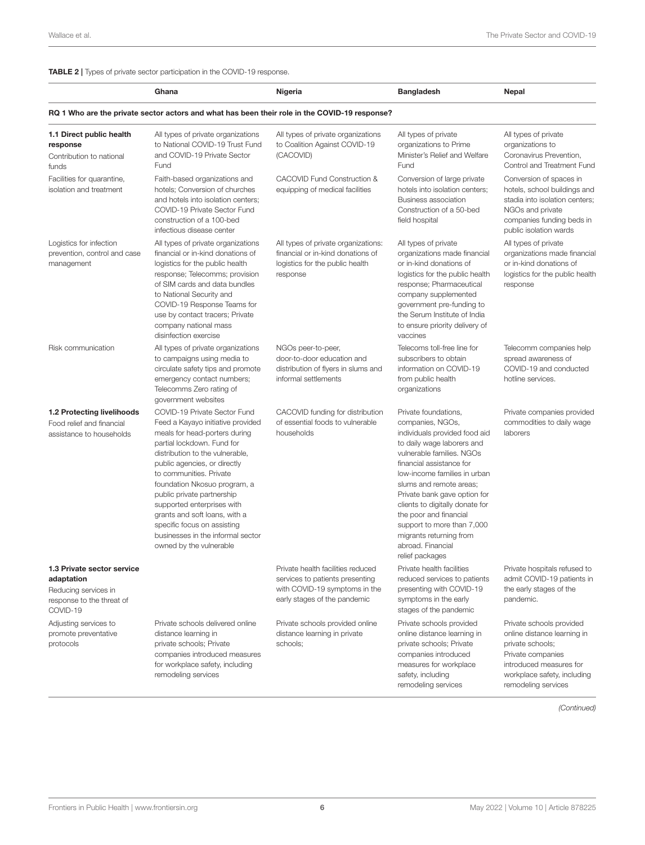#### <span id="page-5-0"></span>TABLE 2 | Types of private sector participation in the COVID-19 response.

|                                                                                                           | Ghana                                                                                                                                                                                                                                                                                                                                                                                                                                                      | Nigeria                                                                                                                               | <b>Bangladesh</b>                                                                                                                                                                                                                                                                                                                                                                                                         | <b>Nepal</b>                                                                                                                                                                      |
|-----------------------------------------------------------------------------------------------------------|------------------------------------------------------------------------------------------------------------------------------------------------------------------------------------------------------------------------------------------------------------------------------------------------------------------------------------------------------------------------------------------------------------------------------------------------------------|---------------------------------------------------------------------------------------------------------------------------------------|---------------------------------------------------------------------------------------------------------------------------------------------------------------------------------------------------------------------------------------------------------------------------------------------------------------------------------------------------------------------------------------------------------------------------|-----------------------------------------------------------------------------------------------------------------------------------------------------------------------------------|
|                                                                                                           | RQ 1 Who are the private sector actors and what has been their role in the COVID-19 response?                                                                                                                                                                                                                                                                                                                                                              |                                                                                                                                       |                                                                                                                                                                                                                                                                                                                                                                                                                           |                                                                                                                                                                                   |
| 1.1 Direct public health<br>response<br>Contribution to national<br>funds                                 | All types of private organizations<br>to National COVID-19 Trust Fund<br>and COVID-19 Private Sector<br>Fund                                                                                                                                                                                                                                                                                                                                               | All types of private organizations<br>to Coalition Against COVID-19<br>(CACOVID)                                                      | All types of private<br>organizations to Prime<br>Minister's Relief and Welfare<br>Fund                                                                                                                                                                                                                                                                                                                                   | All types of private<br>organizations to<br>Coronavirus Prevention,<br>Control and Treatment Fund                                                                                 |
| Facilities for quarantine,<br>isolation and treatment                                                     | Faith-based organizations and<br>hotels; Conversion of churches<br>and hotels into isolation centers:<br>COVID-19 Private Sector Fund<br>construction of a 100-bed<br>infectious disease center                                                                                                                                                                                                                                                            | CACOVID Fund Construction &<br>equipping of medical facilities                                                                        | Conversion of large private<br>hotels into isolation centers;<br>Business association<br>Construction of a 50-bed<br>field hospital                                                                                                                                                                                                                                                                                       | Conversion of spaces in<br>hotels, school buildings and<br>stadia into isolation centers;<br>NGOs and private<br>companies funding beds in<br>public isolation wards              |
| Logistics for infection<br>prevention, control and case<br>management                                     | All types of private organizations<br>financial or in-kind donations of<br>logistics for the public health<br>response; Telecomms; provision<br>of SIM cards and data bundles<br>to National Security and<br>COVID-19 Response Teams for<br>use by contact tracers; Private<br>company national mass<br>disinfection exercise                                                                                                                              | All types of private organizations:<br>financial or in-kind donations of<br>logistics for the public health<br>response               | All types of private<br>organizations made financial<br>or in-kind donations of<br>logistics for the public health<br>response; Pharmaceutical<br>company supplemented<br>government pre-funding to<br>the Serum Institute of India<br>to ensure priority delivery of<br>vaccines                                                                                                                                         | All types of private<br>organizations made financial<br>or in-kind donations of<br>logistics for the public health<br>response                                                    |
| Risk communication                                                                                        | All types of private organizations<br>to campaigns using media to<br>circulate safety tips and promote<br>emergency contact numbers;<br>Telecomms Zero rating of<br>government websites                                                                                                                                                                                                                                                                    | NGOs peer-to-peer,<br>door-to-door education and<br>distribution of flyers in slums and<br>informal settlements                       | Telecoms toll-free line for<br>subscribers to obtain<br>information on COVID-19<br>from public health<br>organizations                                                                                                                                                                                                                                                                                                    | Telecomm companies help<br>spread awareness of<br>COVID-19 and conducted<br>hotline services.                                                                                     |
| 1.2 Protecting livelihoods<br>Food relief and financial<br>assistance to households                       | COVID-19 Private Sector Fund<br>Feed a Kayayo initiative provided<br>meals for head-porters during<br>partial lockdown. Fund for<br>distribution to the vulnerable,<br>public agencies, or directly<br>to communities. Private<br>foundation Nkosuo program, a<br>public private partnership<br>supported enterprises with<br>grants and soft loans, with a<br>specific focus on assisting<br>businesses in the informal sector<br>owned by the vulnerable | CACOVID funding for distribution<br>of essential foods to vulnerable<br>households                                                    | Private foundations,<br>companies, NGOs,<br>individuals provided food aid<br>to daily wage laborers and<br>vulnerable families. NGOs<br>financial assistance for<br>low-income families in urban<br>slums and remote areas;<br>Private bank gave option for<br>clients to digitally donate for<br>the poor and financial<br>support to more than 7,000<br>migrants returning from<br>abroad. Financial<br>relief packages | Private companies provided<br>commodities to daily wage<br>laborers                                                                                                               |
| 1.3 Private sector service<br>adaptation<br>Reducing services in<br>response to the threat of<br>COVID-19 |                                                                                                                                                                                                                                                                                                                                                                                                                                                            | Private health facilities reduced<br>services to patients presenting<br>with COVID-19 symptoms in the<br>early stages of the pandemic | Private health facilities<br>reduced services to patients<br>presenting with COVID-19<br>symptoms in the early<br>stages of the pandemic                                                                                                                                                                                                                                                                                  | Private hospitals refused to<br>admit COVID-19 patients in<br>the early stages of the<br>pandemic.                                                                                |
| Adjusting services to<br>promote preventative<br>protocols                                                | Private schools delivered online<br>distance learning in<br>private schools; Private<br>companies introduced measures<br>for workplace safety, including<br>remodeling services                                                                                                                                                                                                                                                                            | Private schools provided online<br>distance learning in private<br>schools;                                                           | Private schools provided<br>online distance learning in<br>private schools; Private<br>companies introduced<br>measures for workplace<br>safety, including<br>remodeling services                                                                                                                                                                                                                                         | Private schools provided<br>online distance learning in<br>private schools;<br>Private companies<br>introduced measures for<br>workplace safety, including<br>remodeling services |

*(Continued)*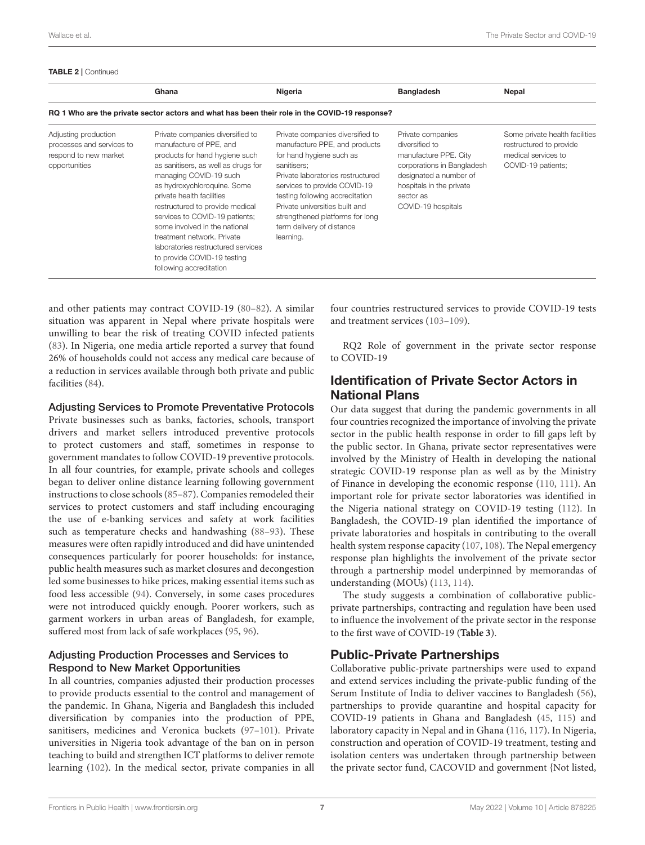#### TABLE 2 | Continued

|                                                                                               | Ghana                                                                                                                                                                                                                                                                                                                                                                                                                                                          | Nigeria                                                                                                                                                                                                                                                                                                                             | <b>Bangladesh</b>                                                                                                                                                                   | Nepal                                                                                                  |  |
|-----------------------------------------------------------------------------------------------|----------------------------------------------------------------------------------------------------------------------------------------------------------------------------------------------------------------------------------------------------------------------------------------------------------------------------------------------------------------------------------------------------------------------------------------------------------------|-------------------------------------------------------------------------------------------------------------------------------------------------------------------------------------------------------------------------------------------------------------------------------------------------------------------------------------|-------------------------------------------------------------------------------------------------------------------------------------------------------------------------------------|--------------------------------------------------------------------------------------------------------|--|
| RQ 1 Who are the private sector actors and what has been their role in the COVID-19 response? |                                                                                                                                                                                                                                                                                                                                                                                                                                                                |                                                                                                                                                                                                                                                                                                                                     |                                                                                                                                                                                     |                                                                                                        |  |
| Adjusting production<br>processes and services to<br>respond to new market<br>opportunities   | Private companies diversified to<br>manufacture of PPE, and<br>products for hand hygiene such<br>as sanitisers, as well as drugs for<br>managing COVID-19 such<br>as hydroxychloroguine. Some<br>private health facilities<br>restructured to provide medical<br>services to COVID-19 patients;<br>some involved in the national<br>treatment network. Private<br>laboratories restructured services<br>to provide COVID-19 testing<br>following accreditation | Private companies diversified to<br>manufacture PPE, and products<br>for hand hygiene such as<br>sanitisers:<br>Private laboratories restructured<br>services to provide COVID-19<br>testing following accreditation<br>Private universities built and<br>strengthened platforms for long<br>term delivery of distance<br>learning. | Private companies<br>diversified to<br>manufacture PPE. City<br>corporations in Bangladesh<br>designated a number of<br>hospitals in the private<br>sector as<br>COVID-19 hospitals | Some private health facilities<br>restructured to provide<br>medical services to<br>COVID-19 patients; |  |

and other patients may contract COVID-19 [\(80](#page-13-6)[–82\)](#page-13-7). A similar situation was apparent in Nepal where private hospitals were unwilling to bear the risk of treating COVID infected patients [\(83\)](#page-13-8). In Nigeria, one media article reported a survey that found 26% of households could not access any medical care because of a reduction in services available through both private and public facilities [\(84\)](#page-13-9).

#### Adjusting Services to Promote Preventative Protocols

Private businesses such as banks, factories, schools, transport drivers and market sellers introduced preventive protocols to protect customers and staff, sometimes in response to government mandates to follow COVID-19 preventive protocols. In all four countries, for example, private schools and colleges began to deliver online distance learning following government instructions to close schools [\(85–](#page-13-10)[87\)](#page-13-11). Companies remodeled their services to protect customers and staff including encouraging the use of e-banking services and safety at work facilities such as temperature checks and handwashing [\(88](#page-13-12)[–93\)](#page-13-13). These measures were often rapidly introduced and did have unintended consequences particularly for poorer households: for instance, public health measures such as market closures and decongestion led some businesses to hike prices, making essential items such as food less accessible [\(94\)](#page-13-14). Conversely, in some cases procedures were not introduced quickly enough. Poorer workers, such as garment workers in urban areas of Bangladesh, for example, suffered most from lack of safe workplaces [\(95,](#page-13-15) [96\)](#page-13-16).

#### Adjusting Production Processes and Services to Respond to New Market Opportunities

In all countries, companies adjusted their production processes to provide products essential to the control and management of the pandemic. In Ghana, Nigeria and Bangladesh this included diversification by companies into the production of PPE, sanitisers, medicines and Veronica buckets [\(97–](#page-13-17)[101\)](#page-13-18). Private universities in Nigeria took advantage of the ban on in person teaching to build and strengthen ICT platforms to deliver remote learning [\(102\)](#page-13-19). In the medical sector, private companies in all four countries restructured services to provide COVID-19 tests and treatment services [\(103–](#page-13-20)[109\)](#page-14-0).

RQ2 Role of government in the private sector response to COVID-19

# Identification of Private Sector Actors in National Plans

Our data suggest that during the pandemic governments in all four countries recognized the importance of involving the private sector in the public health response in order to fill gaps left by the public sector. In Ghana, private sector representatives were involved by the Ministry of Health in developing the national strategic COVID-19 response plan as well as by the Ministry of Finance in developing the economic response [\(110,](#page-14-1) [111\)](#page-14-2). An important role for private sector laboratories was identified in the Nigeria national strategy on COVID-19 testing [\(112\)](#page-14-3). In Bangladesh, the COVID-19 plan identified the importance of private laboratories and hospitals in contributing to the overall health system response capacity [\(107,](#page-14-4) [108\)](#page-14-5). The Nepal emergency response plan highlights the involvement of the private sector through a partnership model underpinned by memorandas of understanding (MOUs) [\(113,](#page-14-6) [114\)](#page-14-7).

The study suggests a combination of collaborative publicprivate partnerships, contracting and regulation have been used to influence the involvement of the private sector in the response to the first wave of COVID-19 (**[Table 3](#page-7-0)**).

### Public-Private Partnerships

Collaborative public-private partnerships were used to expand and extend services including the private-public funding of the Serum Institute of India to deliver vaccines to Bangladesh [\(56\)](#page-12-12), partnerships to provide quarantine and hospital capacity for COVID-19 patients in Ghana and Bangladesh [\(45,](#page-12-7) [115\)](#page-14-8) and laboratory capacity in Nepal and in Ghana [\(116,](#page-14-9) [117\)](#page-14-10). In Nigeria, construction and operation of COVID-19 treatment, testing and isolation centers was undertaken through partnership between the private sector fund, CACOVID and government {Not listed,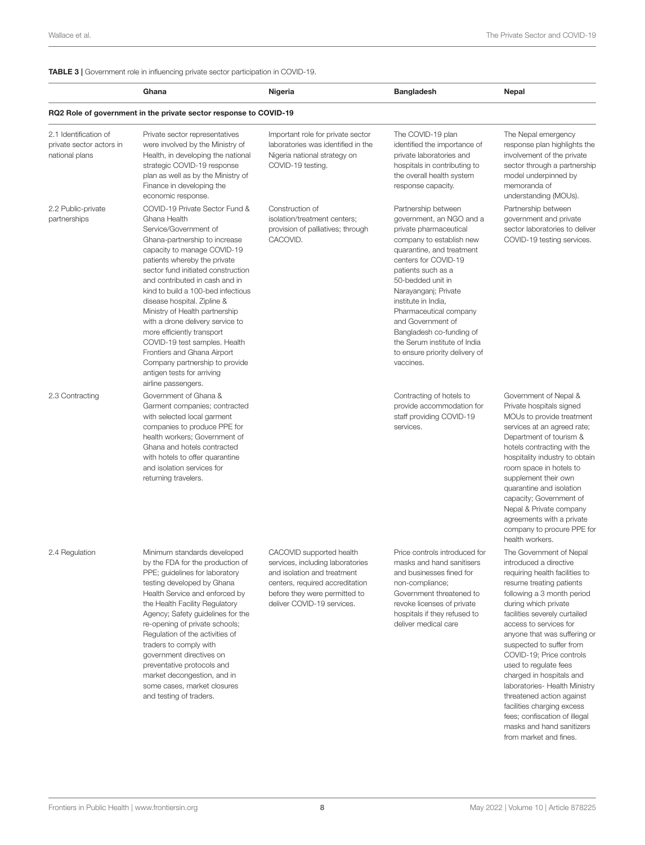#### <span id="page-7-0"></span>TABLE 3 | Government role in influencing private sector participation in COVID-19.

|                                                                     | Ghana                                                                                                                                                                                                                                                                                                                                                                                                                                                                                                                                                                           | Nigeria                                                                                                                                                                                       | <b>Bangladesh</b>                                                                                                                                                                                                                                                                                                                                                                                              | <b>Nepal</b>                                                                                                                                                                                                                                                                                                                                                                                                                                                                                               |
|---------------------------------------------------------------------|---------------------------------------------------------------------------------------------------------------------------------------------------------------------------------------------------------------------------------------------------------------------------------------------------------------------------------------------------------------------------------------------------------------------------------------------------------------------------------------------------------------------------------------------------------------------------------|-----------------------------------------------------------------------------------------------------------------------------------------------------------------------------------------------|----------------------------------------------------------------------------------------------------------------------------------------------------------------------------------------------------------------------------------------------------------------------------------------------------------------------------------------------------------------------------------------------------------------|------------------------------------------------------------------------------------------------------------------------------------------------------------------------------------------------------------------------------------------------------------------------------------------------------------------------------------------------------------------------------------------------------------------------------------------------------------------------------------------------------------|
|                                                                     | RQ2 Role of government in the private sector response to COVID-19                                                                                                                                                                                                                                                                                                                                                                                                                                                                                                               |                                                                                                                                                                                               |                                                                                                                                                                                                                                                                                                                                                                                                                |                                                                                                                                                                                                                                                                                                                                                                                                                                                                                                            |
| 2.1 Identification of<br>private sector actors in<br>national plans | Private sector representatives<br>were involved by the Ministry of<br>Health, in developing the national<br>strategic COVID-19 response<br>plan as well as by the Ministry of<br>Finance in developing the<br>economic response.                                                                                                                                                                                                                                                                                                                                                | Important role for private sector<br>laboratories was identified in the<br>Nigeria national strategy on<br>COVID-19 testing.                                                                  | The COVID-19 plan<br>identified the importance of<br>private laboratories and<br>hospitals in contributing to<br>the overall health system<br>response capacity.                                                                                                                                                                                                                                               | The Nepal emergency<br>response plan highlights the<br>involvement of the private<br>sector through a partnership<br>model underpinned by<br>memoranda of<br>understanding (MOUs).                                                                                                                                                                                                                                                                                                                         |
| 2.2 Public-private<br>partnerships                                  | COVID-19 Private Sector Fund &<br>Ghana Health<br>Service/Government of<br>Ghana-partnership to increase<br>capacity to manage COVID-19<br>patients whereby the private<br>sector fund initiated construction<br>and contributed in cash and in<br>kind to build a 100-bed infectious<br>disease hospital. Zipline &<br>Ministry of Health partnership<br>with a drone delivery service to<br>more efficiently transport<br>COVID-19 test samples. Health<br>Frontiers and Ghana Airport<br>Company partnership to provide<br>antigen tests for arriving<br>airline passengers. | Construction of<br>isolation/treatment centers;<br>provision of palliatives; through<br>CACOVID.                                                                                              | Partnership between<br>government, an NGO and a<br>private pharmaceutical<br>company to establish new<br>quarantine, and treatment<br>centers for COVID-19<br>patients such as a<br>50-bedded unit in<br>Narayanganj; Private<br>institute in India,<br>Pharmaceutical company<br>and Government of<br>Bangladesh co-funding of<br>the Serum institute of India<br>to ensure priority delivery of<br>vaccines. | Partnership between<br>government and private<br>sector laboratories to deliver<br>COVID-19 testing services.                                                                                                                                                                                                                                                                                                                                                                                              |
| 2.3 Contracting                                                     | Government of Ghana &<br>Garment companies; contracted<br>with selected local garment<br>companies to produce PPE for<br>health workers; Government of<br>Ghana and hotels contracted<br>with hotels to offer quarantine<br>and isolation services for<br>returning travelers.                                                                                                                                                                                                                                                                                                  |                                                                                                                                                                                               | Contracting of hotels to<br>provide accommodation for<br>staff providing COVID-19<br>services.                                                                                                                                                                                                                                                                                                                 | Government of Nepal &<br>Private hospitals signed<br>MOUs to provide treatment<br>services at an agreed rate;<br>Department of tourism &<br>hotels contracting with the<br>hospitality industry to obtain<br>room space in hotels to<br>supplement their own<br>quarantine and isolation<br>capacity; Government of<br>Nepal & Private company<br>agreements with a private<br>company to procure PPE for<br>health workers.                                                                               |
| 2.4 Regulation                                                      | Minimum standards developed<br>by the FDA for the production of<br>PPE; guidelines for laboratory<br>testing developed by Ghana<br>Health Service and enforced by<br>the Health Facility Regulatory<br>Agency; Safety guidelines for the<br>re-opening of private schools;<br>Regulation of the activities of<br>traders to comply with<br>government directives on<br>preventative protocols and<br>market decongestion, and in<br>some cases, market closures<br>and testing of traders.                                                                                      | CACOVID supported health<br>services, including laboratories<br>and isolation and treatment<br>centers, required accreditation<br>before they were permitted to<br>deliver COVID-19 services. | Price controls introduced for<br>masks and hand sanitisers<br>and businesses fined for<br>non-compliance;<br>Government threatened to<br>revoke licenses of private<br>hospitals if they refused to<br>deliver medical care                                                                                                                                                                                    | The Government of Nepal<br>introduced a directive<br>requiring health facilities to<br>resume treating patients<br>following a 3 month period<br>during which private<br>facilities severely curtailed<br>access to services for<br>anyone that was suffering or<br>suspected to suffer from<br>COVID-19; Price controls<br>used to regulate fees<br>charged in hospitals and<br>laboratories- Health Ministry<br>threatened action against<br>facilities charging excess<br>fees; confiscation of illegal |

masks and hand sanitizers from market and fines.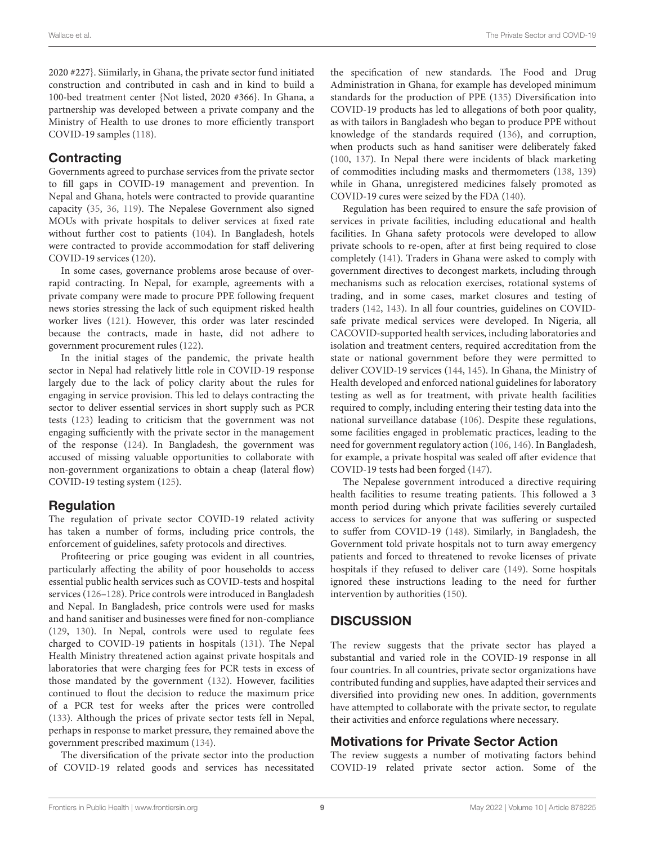2020 #227}. Siimilarly, in Ghana, the private sector fund initiated construction and contributed in cash and in kind to build a 100-bed treatment center {Not listed, 2020 #366}. In Ghana, a partnership was developed between a private company and the Ministry of Health to use drones to more efficiently transport COVID-19 samples [\(118\)](#page-14-11).

# **Contracting**

Governments agreed to purchase services from the private sector to fill gaps in COVID-19 management and prevention. In Nepal and Ghana, hotels were contracted to provide quarantine capacity [\(35,](#page-12-4) [36,](#page-12-20) [119\)](#page-14-12). The Nepalese Government also signed MOUs with private hospitals to deliver services at fixed rate without further cost to patients [\(104\)](#page-14-13). In Bangladesh, hotels were contracted to provide accommodation for staff delivering COVID-19 services [\(120\)](#page-14-14).

In some cases, governance problems arose because of overrapid contracting. In Nepal, for example, agreements with a private company were made to procure PPE following frequent news stories stressing the lack of such equipment risked health worker lives [\(121\)](#page-14-15). However, this order was later rescinded because the contracts, made in haste, did not adhere to government procurement rules [\(122\)](#page-14-16).

In the initial stages of the pandemic, the private health sector in Nepal had relatively little role in COVID-19 response largely due to the lack of policy clarity about the rules for engaging in service provision. This led to delays contracting the sector to deliver essential services in short supply such as PCR tests [\(123\)](#page-14-17) leading to criticism that the government was not engaging sufficiently with the private sector in the management of the response [\(124\)](#page-14-18). In Bangladesh, the government was accused of missing valuable opportunities to collaborate with non-government organizations to obtain a cheap (lateral flow) COVID-19 testing system [\(125\)](#page-14-19).

# Regulation

The regulation of private sector COVID-19 related activity has taken a number of forms, including price controls, the enforcement of guidelines, safety protocols and directives.

Profiteering or price gouging was evident in all countries, particularly affecting the ability of poor households to access essential public health services such as COVID-tests and hospital services [\(126](#page-14-20)[–128\)](#page-14-21). Price controls were introduced in Bangladesh and Nepal. In Bangladesh, price controls were used for masks and hand sanitiser and businesses were fined for non-compliance [\(129,](#page-14-22) [130\)](#page-14-23). In Nepal, controls were used to regulate fees charged to COVID-19 patients in hospitals [\(131\)](#page-14-24). The Nepal Health Ministry threatened action against private hospitals and laboratories that were charging fees for PCR tests in excess of those mandated by the government [\(132\)](#page-14-25). However, facilities continued to flout the decision to reduce the maximum price of a PCR test for weeks after the prices were controlled [\(133\)](#page-14-26). Although the prices of private sector tests fell in Nepal, perhaps in response to market pressure, they remained above the government prescribed maximum [\(134\)](#page-14-27).

The diversification of the private sector into the production of COVID-19 related goods and services has necessitated the specification of new standards. The Food and Drug Administration in Ghana, for example has developed minimum standards for the production of PPE [\(135\)](#page-14-28) Diversification into COVID-19 products has led to allegations of both poor quality, as with tailors in Bangladesh who began to produce PPE without knowledge of the standards required [\(136\)](#page-14-29), and corruption, when products such as hand sanitiser were deliberately faked [\(100,](#page-13-21) [137\)](#page-14-30). In Nepal there were incidents of black marketing of commodities including masks and thermometers [\(138,](#page-14-31) [139\)](#page-14-32) while in Ghana, unregistered medicines falsely promoted as COVID-19 cures were seized by the FDA [\(140\)](#page-14-33).

Regulation has been required to ensure the safe provision of services in private facilities, including educational and health facilities. In Ghana safety protocols were developed to allow private schools to re-open, after at first being required to close completely [\(141\)](#page-14-34). Traders in Ghana were asked to comply with government directives to decongest markets, including through mechanisms such as relocation exercises, rotational systems of trading, and in some cases, market closures and testing of traders [\(142,](#page-14-35) [143\)](#page-14-36). In all four countries, guidelines on COVIDsafe private medical services were developed. In Nigeria, all CACOVID-supported health services, including laboratories and isolation and treatment centers, required accreditation from the state or national government before they were permitted to deliver COVID-19 services [\(144,](#page-14-37) [145\)](#page-15-0). In Ghana, the Ministry of Health developed and enforced national guidelines for laboratory testing as well as for treatment, with private health facilities required to comply, including entering their testing data into the national surveillance database [\(106\)](#page-14-38). Despite these regulations, some facilities engaged in problematic practices, leading to the need for government regulatory action [\(106,](#page-14-38) [146\)](#page-15-1). In Bangladesh, for example, a private hospital was sealed off after evidence that COVID-19 tests had been forged [\(147\)](#page-15-2).

The Nepalese government introduced a directive requiring health facilities to resume treating patients. This followed a 3 month period during which private facilities severely curtailed access to services for anyone that was suffering or suspected to suffer from COVID-19 [\(148\)](#page-15-3). Similarly, in Bangladesh, the Government told private hospitals not to turn away emergency patients and forced to threatened to revoke licenses of private hospitals if they refused to deliver care [\(149\)](#page-15-4). Some hospitals ignored these instructions leading to the need for further intervention by authorities [\(150\)](#page-15-5).

# **DISCUSSION**

The review suggests that the private sector has played a substantial and varied role in the COVID-19 response in all four countries. In all countries, private sector organizations have contributed funding and supplies, have adapted their services and diversified into providing new ones. In addition, governments have attempted to collaborate with the private sector, to regulate their activities and enforce regulations where necessary.

# Motivations for Private Sector Action

The review suggests a number of motivating factors behind COVID-19 related private sector action. Some of the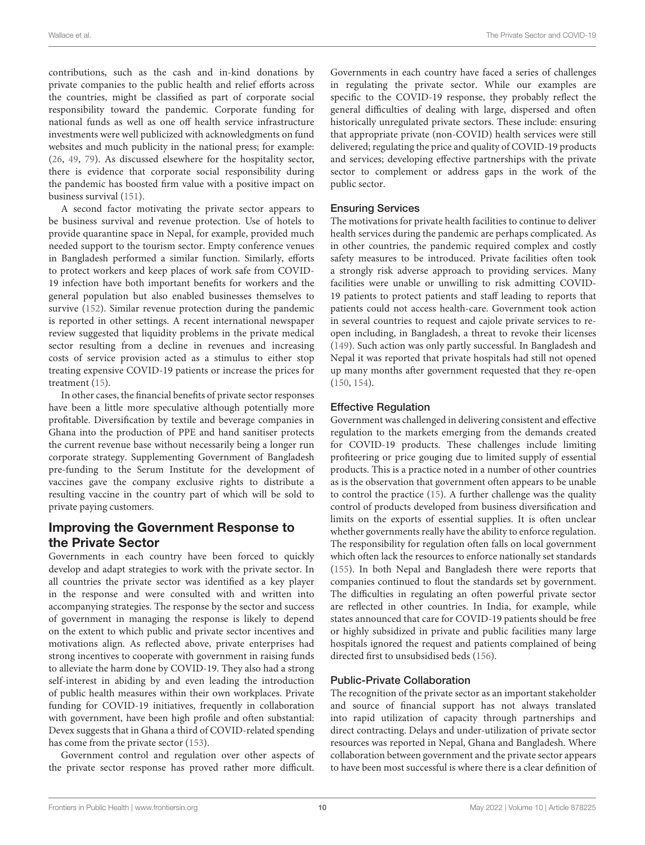contributions, such as the cash and in-kind donations by private companies to the public health and relief efforts across the countries, might be classified as part of corporate social responsibility toward the pandemic. Corporate funding for national funds as well as one off health service infrastructure investments were well publicized with acknowledgments on fund websites and much publicity in the national press; for example: [\(26,](#page-11-18) [49,](#page-12-21) [79\)](#page-13-5). As discussed elsewhere for the hospitality sector, there is evidence that corporate social responsibility during the pandemic has boosted firm value with a positive impact on business survival [\(151\)](#page-15-6).

A second factor motivating the private sector appears to be business survival and revenue protection. Use of hotels to provide quarantine space in Nepal, for example, provided much needed support to the tourism sector. Empty conference venues in Bangladesh performed a similar function. Similarly, efforts to protect workers and keep places of work safe from COVID-19 infection have both important benefits for workers and the general population but also enabled businesses themselves to survive [\(152\)](#page-15-7). Similar revenue protection during the pandemic is reported in other settings. A recent international newspaper review suggested that liquidity problems in the private medical sector resulting from a decline in revenues and increasing costs of service provision acted as a stimulus to either stop treating expensive COVID-19 patients or increase the prices for treatment [\(15\)](#page-11-11).

In other cases, the financial benefits of private sector responses have been a little more speculative although potentially more profitable. Diversification by textile and beverage companies in Ghana into the production of PPE and hand sanitiser protects the current revenue base without necessarily being a longer run corporate strategy. Supplementing Government of Bangladesh pre-funding to the Serum Institute for the development of vaccines gave the company exclusive rights to distribute a resulting vaccine in the country part of which will be sold to private paying customers.

# Improving the Government Response to the Private Sector

Governments in each country have been forced to quickly develop and adapt strategies to work with the private sector. In all countries the private sector was identified as a key player in the response and were consulted with and written into accompanying strategies. The response by the sector and success of government in managing the response is likely to depend on the extent to which public and private sector incentives and motivations align. As reflected above, private enterprises had strong incentives to cooperate with government in raising funds to alleviate the harm done by COVID-19. They also had a strong self-interest in abiding by and even leading the introduction of public health measures within their own workplaces. Private funding for COVID-19 initiatives, frequently in collaboration with government, have been high profile and often substantial: Devex suggests that in Ghana a third of COVID-related spending has come from the private sector [\(153\)](#page-15-8).

Government control and regulation over other aspects of the private sector response has proved rather more difficult. Governments in each country have faced a series of challenges in regulating the private sector. While our examples are specific to the COVID-19 response, they probably reflect the general difficulties of dealing with large, dispersed and often historically unregulated private sectors. These include: ensuring that appropriate private (non-COVID) health services were still delivered; regulating the price and quality of COVID-19 products and services; developing effective partnerships with the private sector to complement or address gaps in the work of the public sector.

#### Ensuring Services

The motivations for private health facilities to continue to deliver health services during the pandemic are perhaps complicated. As in other countries, the pandemic required complex and costly safety measures to be introduced. Private facilities often took a strongly risk adverse approach to providing services. Many facilities were unable or unwilling to risk admitting COVID-19 patients to protect patients and staff leading to reports that patients could not access health-care. Government took action in several countries to request and cajole private services to reopen including, in Bangladesh, a threat to revoke their licenses [\(149\)](#page-15-4). Such action was only partly successful. In Bangladesh and Nepal it was reported that private hospitals had still not opened up many months after government requested that they re-open [\(150,](#page-15-5) [154\)](#page-15-9).

#### Effective Regulation

Government was challenged in delivering consistent and effective regulation to the markets emerging from the demands created for COVID-19 products. These challenges include limiting profiteering or price gouging due to limited supply of essential products. This is a practice noted in a number of other countries as is the observation that government often appears to be unable to control the practice [\(15\)](#page-11-11). A further challenge was the quality control of products developed from business diversification and limits on the exports of essential supplies. It is often unclear whether governments really have the ability to enforce regulation. The responsibility for regulation often falls on local government which often lack the resources to enforce nationally set standards [\(155\)](#page-15-10). In both Nepal and Bangladesh there were reports that companies continued to flout the standards set by government. The difficulties in regulating an often powerful private sector are reflected in other countries. In India, for example, while states announced that care for COVID-19 patients should be free or highly subsidized in private and public facilities many large hospitals ignored the request and patients complained of being directed first to unsubsidised beds [\(156\)](#page-15-11).

#### Public-Private Collaboration

The recognition of the private sector as an important stakeholder and source of financial support has not always translated into rapid utilization of capacity through partnerships and direct contracting. Delays and under-utilization of private sector resources was reported in Nepal, Ghana and Bangladesh. Where collaboration between government and the private sector appears to have been most successful is where there is a clear definition of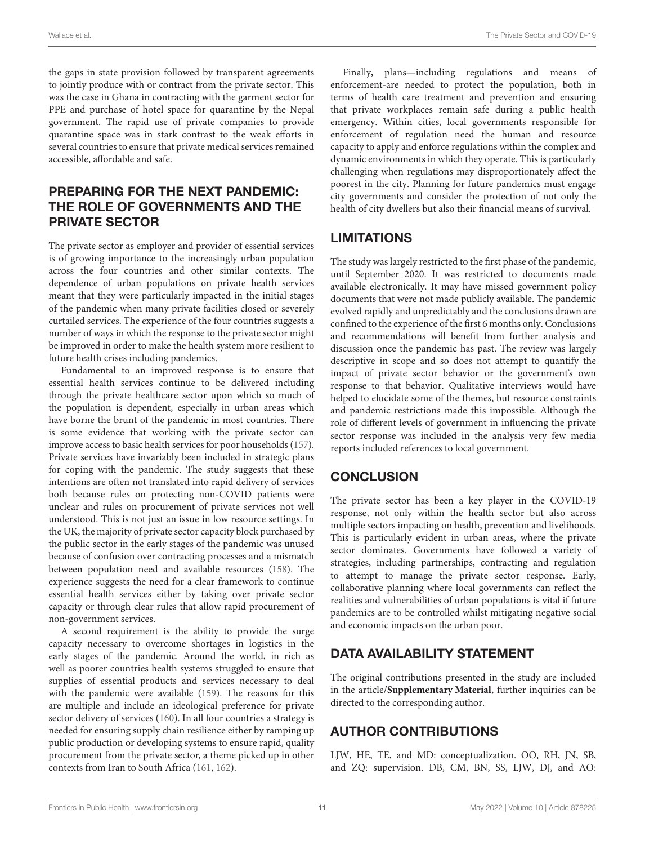Wallace et al. The Private Sector and COVID-19

the gaps in state provision followed by transparent agreements to jointly produce with or contract from the private sector. This was the case in Ghana in contracting with the garment sector for PPE and purchase of hotel space for quarantine by the Nepal government. The rapid use of private companies to provide quarantine space was in stark contrast to the weak efforts in several countries to ensure that private medical services remained accessible, affordable and safe.

# PREPARING FOR THE NEXT PANDEMIC: THE ROLE OF GOVERNMENTS AND THE PRIVATE SECTOR

The private sector as employer and provider of essential services is of growing importance to the increasingly urban population across the four countries and other similar contexts. The dependence of urban populations on private health services meant that they were particularly impacted in the initial stages of the pandemic when many private facilities closed or severely curtailed services. The experience of the four countries suggests a number of ways in which the response to the private sector might be improved in order to make the health system more resilient to future health crises including pandemics.

Fundamental to an improved response is to ensure that essential health services continue to be delivered including through the private healthcare sector upon which so much of the population is dependent, especially in urban areas which have borne the brunt of the pandemic in most countries. There is some evidence that working with the private sector can improve access to basic health services for poor households [\(157\)](#page-15-12). Private services have invariably been included in strategic plans for coping with the pandemic. The study suggests that these intentions are often not translated into rapid delivery of services both because rules on protecting non-COVID patients were unclear and rules on procurement of private services not well understood. This is not just an issue in low resource settings. In the UK, the majority of private sector capacity block purchased by the public sector in the early stages of the pandemic was unused because of confusion over contracting processes and a mismatch between population need and available resources [\(158\)](#page-15-13). The experience suggests the need for a clear framework to continue essential health services either by taking over private sector capacity or through clear rules that allow rapid procurement of non-government services.

A second requirement is the ability to provide the surge capacity necessary to overcome shortages in logistics in the early stages of the pandemic. Around the world, in rich as well as poorer countries health systems struggled to ensure that supplies of essential products and services necessary to deal with the pandemic were available [\(159\)](#page-15-14). The reasons for this are multiple and include an ideological preference for private sector delivery of services [\(160\)](#page-15-15). In all four countries a strategy is needed for ensuring supply chain resilience either by ramping up public production or developing systems to ensure rapid, quality procurement from the private sector, a theme picked up in other contexts from Iran to South Africa [\(161,](#page-15-16) [162\)](#page-15-17).

Finally, plans—including regulations and means of enforcement-are needed to protect the population, both in terms of health care treatment and prevention and ensuring that private workplaces remain safe during a public health emergency. Within cities, local governments responsible for enforcement of regulation need the human and resource capacity to apply and enforce regulations within the complex and dynamic environments in which they operate. This is particularly challenging when regulations may disproportionately affect the poorest in the city. Planning for future pandemics must engage city governments and consider the protection of not only the health of city dwellers but also their financial means of survival.

# **LIMITATIONS**

The study was largely restricted to the first phase of the pandemic, until September 2020. It was restricted to documents made available electronically. It may have missed government policy documents that were not made publicly available. The pandemic evolved rapidly and unpredictably and the conclusions drawn are confined to the experience of the first 6 months only. Conclusions and recommendations will benefit from further analysis and discussion once the pandemic has past. The review was largely descriptive in scope and so does not attempt to quantify the impact of private sector behavior or the government's own response to that behavior. Qualitative interviews would have helped to elucidate some of the themes, but resource constraints and pandemic restrictions made this impossible. Although the role of different levels of government in influencing the private sector response was included in the analysis very few media reports included references to local government.

# **CONCLUSION**

The private sector has been a key player in the COVID-19 response, not only within the health sector but also across multiple sectors impacting on health, prevention and livelihoods. This is particularly evident in urban areas, where the private sector dominates. Governments have followed a variety of strategies, including partnerships, contracting and regulation to attempt to manage the private sector response. Early, collaborative planning where local governments can reflect the realities and vulnerabilities of urban populations is vital if future pandemics are to be controlled whilst mitigating negative social and economic impacts on the urban poor.

# DATA AVAILABILITY STATEMENT

The original contributions presented in the study are included in the article/**[Supplementary Material](#page-11-19)**, further inquiries can be directed to the corresponding author.

# AUTHOR CONTRIBUTIONS

LJW, HE, TE, and MD: conceptualization. OO, RH, JN, SB, and ZQ: supervision. DB, CM, BN, SS, LJW, DJ, and AO: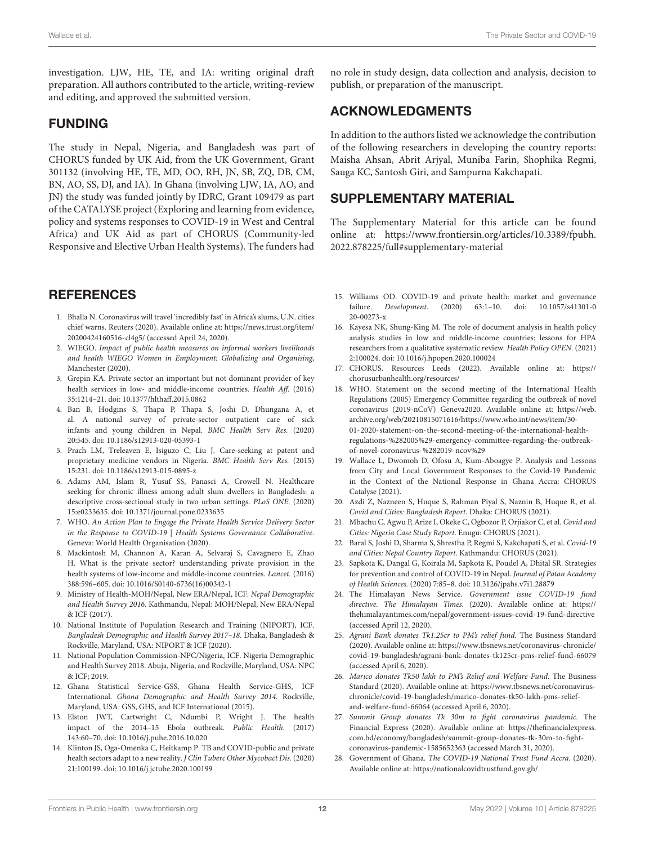investigation. LJW, HE, TE, and IA: writing original draft preparation. All authors contributed to the article, writing-review and editing, and approved the submitted version.

# FUNDING

The study in Nepal, Nigeria, and Bangladesh was part of CHORUS funded by UK Aid, from the UK Government, Grant 301132 (involving HE, TE, MD, OO, RH, JN, SB, ZQ, DB, CM, BN, AO, SS, DJ, and IA). In Ghana (involving LJW, IA, AO, and JN) the study was funded jointly by IDRC, Grant 109479 as part of the CATALYSE project (Exploring and learning from evidence, policy and systems responses to COVID-19 in West and Central Africa) and UK Aid as part of CHORUS (Community-led Responsive and Elective Urban Health Systems). The funders had

# **REFERENCES**

- <span id="page-11-0"></span>1. Bhalla N. Coronavirus will travel 'incredibly fast' in Africa's slums, U.N. cities chief warns. Reuters (2020). Available online at: [https://news.trust.org/item/](https://news.trust.org/item/20200424160516-cl4g5/) [20200424160516-cl4g5/](https://news.trust.org/item/20200424160516-cl4g5/) (accessed April 24, 2020).
- <span id="page-11-1"></span>2. WIEGO. Impact of public health measures on informal workers livelihoods and health WIEGO Women in Employment: Globalizing and Organising, Manchester (2020).
- <span id="page-11-2"></span>3. Grepin KA. Private sector an important but not dominant provider of key health services in low- and middle-income countries. Health Aff. (2016) 35:1214–21. doi: [10.1377/hlthaff.2015.0862](https://doi.org/10.1377/hlthaff.2015.0862)
- <span id="page-11-3"></span>4. Ban B, Hodgins S, Thapa P, Thapa S, Joshi D, Dhungana A, et al. A national survey of private-sector outpatient care of sick infants and young children in Nepal. BMC Health Serv Res. (2020) 20:545. doi: [10.1186/s12913-020-05393-1](https://doi.org/10.1186/s12913-020-05393-1)
- 5. Prach LM, Treleaven E, Isiguzo C, Liu J. Care-seeking at patent and proprietary medicine vendors in Nigeria. BMC Health Serv Res. (2015) 15:231. doi: [10.1186/s12913-015-0895-z](https://doi.org/10.1186/s12913-015-0895-z)
- <span id="page-11-4"></span>6. Adams AM, Islam R, Yusuf SS, Panasci A, Crowell N. Healthcare seeking for chronic illness among adult slum dwellers in Bangladesh: a descriptive cross-sectional study in two urban settings. PLoS ONE. (2020) 15:e0233635. doi: [10.1371/journal.pone.0233635](https://doi.org/10.1371/journal.pone.0233635)
- <span id="page-11-5"></span>7. WHO. An Action Plan to Engage the Private Health Service Delivery Sector in the Response to COVID-19 | Health Systems Governance Collaborative. Geneva: World Health Organisation (2020).
- <span id="page-11-6"></span>8. Mackintosh M, Channon A, Karan A, Selvaraj S, Cavagnero E, Zhao H. What is the private sector? understanding private provision in the health systems of low-income and middle-income countries. Lancet. (2016) 388:596–605. doi: [10.1016/S0140-6736\(16\)00342-1](https://doi.org/10.1016/S0140-6736(16)00342-1)
- <span id="page-11-7"></span>9. Ministry of Health-MOH/Nepal, New ERA/Nepal, ICF. Nepal Demographic and Health Survey 2016. Kathmandu, Nepal: MOH/Nepal, New ERA/Nepal & ICF (2017).
- 10. National Institute of Population Research and Training (NIPORT), ICF. Bangladesh Demographic and Health Survey 2017–18. Dhaka, Bangladesh & Rockville, Maryland, USA: NIPORT & ICF (2020).
- 11. National Population Commission-NPC/Nigeria, ICF. Nigeria Demographic and Health Survey 2018. Abuja, Nigeria, and Rockville, Maryland, USA: NPC & ICF; 2019.
- <span id="page-11-8"></span>12. Ghana Statistical Service-GSS, Ghana Health Service-GHS, ICF International. Ghana Demographic and Health Survey 2014. Rockville, Maryland, USA: GSS, GHS, and ICF International (2015).
- <span id="page-11-9"></span>13. Elston JWT, Cartwright C, Ndumbi P, Wright J. The health impact of the 2014–15 Ebola outbreak. Public Health. (2017) 143:60–70. doi: [10.1016/j.puhe.2016.10.020](https://doi.org/10.1016/j.puhe.2016.10.020)
- <span id="page-11-10"></span>14. Klinton JS, Oga-Omenka C, Heitkamp P. TB and COVID-public and private health sectors adapt to a new reality. J Clin Tuberc Other Mycobact Dis. (2020) 21:100199. doi: [10.1016/j.jctube.2020.100199](https://doi.org/10.1016/j.jctube.2020.100199)

no role in study design, data collection and analysis, decision to publish, or preparation of the manuscript.

# ACKNOWLEDGMENTS

In addition to the authors listed we acknowledge the contribution of the following researchers in developing the country reports: Maisha Ahsan, Abrit Arjyal, Muniba Farin, Shophika Regmi, Sauga KC, Santosh Giri, and Sampurna Kakchapati.

# SUPPLEMENTARY MATERIAL

<span id="page-11-19"></span>The Supplementary Material for this article can be found [online at: https://www.frontiersin.org/articles/10.3389/fpubh.](https://www.frontiersin.org/articles/10.3389/fpubh.2022.878225/full#supplementary-material) 2022.878225/full#supplementary-material

- <span id="page-11-11"></span>15. Williams OD. COVID-19 and private health: market and governance failure. Development[. \(2020\) 63:1–10. doi: 10.1057/s41301-0](https://doi.org/10.1057/s41301-020-00273-x) 20-00273-x
- <span id="page-11-12"></span>16. Kayesa NK, Shung-King M. The role of document analysis in health policy analysis studies in low and middle-income countries: lessons for HPA researchers from a qualitative systematic review. Health Policy OPEN. (2021) 2:100024. doi: [10.1016/j.hpopen.2020.100024](https://doi.org/10.1016/j.hpopen.2020.100024)
- <span id="page-11-13"></span>17. CHORUS. Resources Leeds (2022). Available online at: [https://](https://chorusurbanhealth.org/resources/) [chorusurbanhealth.org/resources/](https://chorusurbanhealth.org/resources/)
- <span id="page-11-14"></span>18. WHO. Statement on the second meeting of the International Health Regulations (2005) Emergency Committee regarding the outbreak of novel coronavirus (2019-nCoV) Geneva2020. Available online at: [https://web.](https://web.archive.org/web/20210815071616/https://www.who.int/news/item/30-01-2020-statement-on-the-second-meeting-of-the-international-health-regulations-%282005%29-emergency-committee-regarding-the-outbreak-of-novel-coronavirus-%282019-ncov%29) [archive.org/web/20210815071616/https://www.who.int/news/item/30-](https://web.archive.org/web/20210815071616/https://www.who.int/news/item/30-01-2020-statement-on-the-second-meeting-of-the-international-health-regulations-%282005%29-emergency-committee-regarding-the-outbreak-of-novel-coronavirus-%282019-ncov%29) [01-2020-statement-on-the-second-meeting-of-the-international-health](https://web.archive.org/web/20210815071616/https://www.who.int/news/item/30-01-2020-statement-on-the-second-meeting-of-the-international-health-regulations-%282005%29-emergency-committee-regarding-the-outbreak-of-novel-coronavirus-%282019-ncov%29)[regulations-%282005%29-emergency-committee-regarding-the-outbreak](https://web.archive.org/web/20210815071616/https://www.who.int/news/item/30-01-2020-statement-on-the-second-meeting-of-the-international-health-regulations-%282005%29-emergency-committee-regarding-the-outbreak-of-novel-coronavirus-%282019-ncov%29)[of-novel-coronavirus-%282019-ncov%29](https://web.archive.org/web/20210815071616/https://www.who.int/news/item/30-01-2020-statement-on-the-second-meeting-of-the-international-health-regulations-%282005%29-emergency-committee-regarding-the-outbreak-of-novel-coronavirus-%282019-ncov%29)
- <span id="page-11-15"></span>19. Wallace L, Dwomoh D, Ofosu A, Kum-Aboagye P. Analysis and Lessons from City and Local Government Responses to the Covid-19 Pandemic in the Context of the National Response in Ghana Accra: CHORUS Catalyse (2021).
- 20. Azdi Z, Nazneen S, Huque S, Rahman Piyal S, Naznin B, Huque R, et al. Covid and Cities: Bangladesh Report. Dhaka: CHORUS (2021).
- 21. Mbachu C, Agwu P, Arize I, Okeke C, Ogbozor P, Orjiakor C, et al. Covid and Cities: Nigeria Case Study Report. Enugu: CHORUS (2021).
- <span id="page-11-16"></span>22. Baral S, Joshi D, Sharma S, Shrestha P, Regmi S, Kakchapati S, et al. Covid-19 and Cities: Nepal Country Report. Kathmandu: CHORUS (2021).
- <span id="page-11-17"></span>23. Sapkota K, Dangal G, Koirala M, Sapkota K, Poudel A, Dhital SR. Strategies for prevention and control of COVID-19 in Nepal. Journal of Patan Academy of Health Sciences. (2020) 7:85–8. doi: [10.3126/jpahs.v7i1.28879](https://doi.org/10.3126/jpahs.v7i1.28879)
- 24. The Himalayan News Service. Government issue COVID-19 fund directive. The Himalayan Times. (2020). Available online at: [https://](https://thehimalayantimes.com/nepal/government-issues-covid-19-fund-directive) [thehimalayantimes.com/nepal/government-issues-covid-19-fund-directive](https://thehimalayantimes.com/nepal/government-issues-covid-19-fund-directive) (accessed April 12, 2020).
- 25. Agrani Bank donates Tk1.25cr to PM's relief fund. The Business Standard (2020). Available online at: [https://www.tbsnews.net/coronavirus-chronicle/](https://www.tbsnews.net/coronavirus-chronicle/covid-19-bangladesh/agrani-bank-donates-tk125cr-pms-relief-fund-66079) [covid-19-bangladesh/agrani-bank-donates-tk125cr-pms-relief-fund-66079](https://www.tbsnews.net/coronavirus-chronicle/covid-19-bangladesh/agrani-bank-donates-tk125cr-pms-relief-fund-66079) (accessed April 6, 2020).
- <span id="page-11-18"></span>26. Marico donates Tk50 lakh to PM's Relief and Welfare Fund. The Business Standard (2020). Available online at: [https://www.tbsnews.net/coronavirus](https://www.tbsnews.net/coronavirus-chronicle/covid-19-bangladesh/marico-donates-tk50-lakh-pms-relief-and-welfare-fund-66064)[chronicle/covid-19-bangladesh/marico-donates-tk50-lakh-pms-relief](https://www.tbsnews.net/coronavirus-chronicle/covid-19-bangladesh/marico-donates-tk50-lakh-pms-relief-and-welfare-fund-66064)[and-welfare-fund-66064](https://www.tbsnews.net/coronavirus-chronicle/covid-19-bangladesh/marico-donates-tk50-lakh-pms-relief-and-welfare-fund-66064) (accessed April 6, 2020).
- 27. Summit Group donates Tk 30m to fight coronavirus pandemic. The Financial Express (2020). Available online at: [https://thefinancialexpress.](https://thefinancialexpress.com.bd/economy/bangladesh/summit-group-donates-tk-30m-to-fight-coronavirus-pandemic-1585652363) [com.bd/economy/bangladesh/summit-group-donates-tk-30m-to-fight](https://thefinancialexpress.com.bd/economy/bangladesh/summit-group-donates-tk-30m-to-fight-coronavirus-pandemic-1585652363)[coronavirus-pandemic-1585652363](https://thefinancialexpress.com.bd/economy/bangladesh/summit-group-donates-tk-30m-to-fight-coronavirus-pandemic-1585652363) (accessed March 31, 2020).
- 28. Government of Ghana. The COVID-19 National Trust Fund Accra. (2020). Available online at:<https://nationalcovidtrustfund.gov.gh/>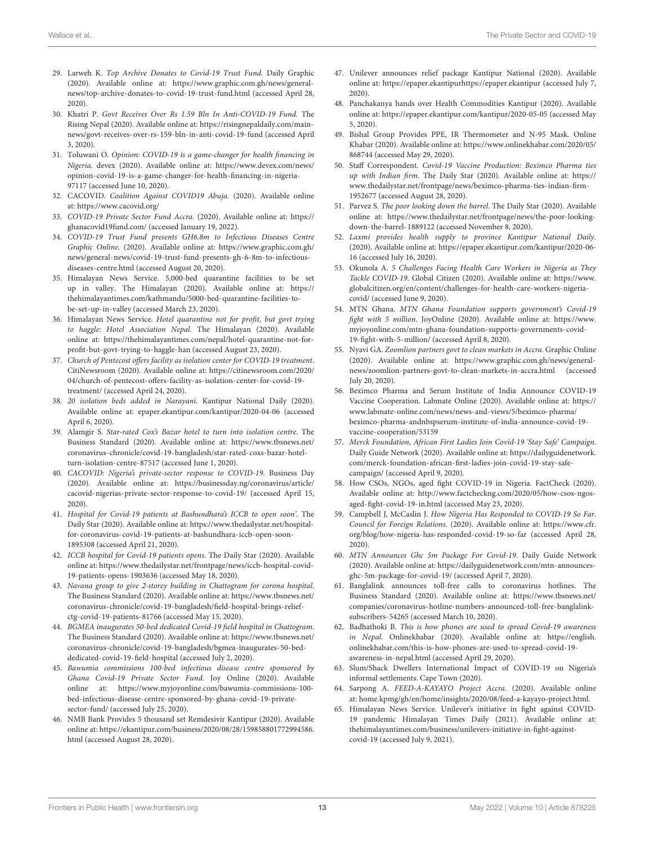- <span id="page-12-0"></span>29. Larweh K. Top Archive Donates to Covid-19 Trust Fund. Daily Graphic (2020). Available online at: [https://www.graphic.com.gh/news/general](https://www.graphic.com.gh/news/general-news/top-archive-donates-to-covid-19-trust-fund.html)[news/top-archive-donates-to-covid-19-trust-fund.html](https://www.graphic.com.gh/news/general-news/top-archive-donates-to-covid-19-trust-fund.html) (accessed April 28, 2020).
- <span id="page-12-1"></span>30. Khatri P. Govt Receives Over Rs 1.59 Bln In Anti-COVID-19 Fund. The Rising Nepal (2020). Available online at: [https://risingnepaldaily.com/main](https://risingnepaldaily.com/main-news/govt-receives-over-rs-159-bln-in-anti-covid-19-fund)[news/govt-receives-over-rs-159-bln-in-anti-covid-19-fund](https://risingnepaldaily.com/main-news/govt-receives-over-rs-159-bln-in-anti-covid-19-fund) (accessed April 3, 2020).
- <span id="page-12-2"></span>31. Toluwani O. Opinion: COVID-19 is a game-changer for health financing in Nigeria. devex (2020). Available online at: [https://www.devex.com/news/](https://www.devex.com/news/opinion-covid-19-is-a-game-changer-for-health-financing-in-nigeria-97117) [opinion-covid-19-is-a-game-changer-for-health-financing-in-nigeria-](https://www.devex.com/news/opinion-covid-19-is-a-game-changer-for-health-financing-in-nigeria-97117)[97117](https://www.devex.com/news/opinion-covid-19-is-a-game-changer-for-health-financing-in-nigeria-97117) (accessed June 10, 2020).
- 32. CACOVID. Coalition Against COVID19 Abuja. (2020). Available online at:<https://www.cacovid.org/>
- 33. COVID-19 Private Sector Fund Accra. (2020). Available online at: [https://](https://ghanacovid19fund.com/) [ghanacovid19fund.com/](https://ghanacovid19fund.com/) (accessed January 19, 2022).
- <span id="page-12-3"></span>34. COVID-19 Trust Fund presents GH6.8m to Infectious Diseases Centre Graphic Online. (2020). Available online at: [https://www.graphic.com.gh/](https://www.graphic.com.gh/news/general-news/covid-19-trust-fund-presents-gh-6-8m-to-infectious-diseases-centre.html) [news/general-news/covid-19-trust-fund-presents-gh-6-8m-to-infectious](https://www.graphic.com.gh/news/general-news/covid-19-trust-fund-presents-gh-6-8m-to-infectious-diseases-centre.html)[diseases-centre.html](https://www.graphic.com.gh/news/general-news/covid-19-trust-fund-presents-gh-6-8m-to-infectious-diseases-centre.html) (accessed August 20, 2020).
- <span id="page-12-4"></span>35. Himalayan News Service. 5,000-bed quarantine facilities to be set up in valley. The Himalayan (2020). Available online at: [https://](https://thehimalayantimes.com/kathmandu/5000-bed-quarantine-facilities-to-be-set-up-in-valley) [thehimalayantimes.com/kathmandu/5000-bed-quarantine-facilities-to](https://thehimalayantimes.com/kathmandu/5000-bed-quarantine-facilities-to-be-set-up-in-valley)[be-set-up-in-valley](https://thehimalayantimes.com/kathmandu/5000-bed-quarantine-facilities-to-be-set-up-in-valley) (accessed March 23, 2020).
- <span id="page-12-20"></span>36. Himalayan News Service. Hotel quarantine not for profit, but govt trying to haggle: Hotel Association Nepal. The Himalayan (2020). Available online at: [https://thehimalayantimes.com/nepal/hotel-quarantine-not-for](https://thehimalayantimes.com/nepal/hotel-quarantine-not-for-profit-but-govt-trying-to-haggle-han)[profit-but-govt-trying-to-haggle-han](https://thehimalayantimes.com/nepal/hotel-quarantine-not-for-profit-but-govt-trying-to-haggle-han) (accessed August 23, 2020).
- 37. Church of Pentecost offers facility as isolation center for COVID-19 treatment. CitiNewsroom (2020). Available online at: [https://citinewsroom.com/2020/](https://citinewsroom.com/2020/04/church-of-pentecost-offers-facility-as-isolation-center-for-covid-19-treatment/) [04/church-of-pentecost-offers-facility-as-isolation-center-for-covid-19](https://citinewsroom.com/2020/04/church-of-pentecost-offers-facility-as-isolation-center-for-covid-19-treatment/) [treatment/](https://citinewsroom.com/2020/04/church-of-pentecost-offers-facility-as-isolation-center-for-covid-19-treatment/) (accessed April 24, 2020).
- 38. 20 isolation beds added in Narayani. Kantipur National Daily (2020). Available online at: epaper.ekantipur.com/kantipur/2020-04-06 (accessed April 6, 2020).
- <span id="page-12-5"></span>39. Alamgir S. Star-rated Cox's Bazar hotel to turn into isolation centre. The Business Standard (2020). Available online at: [https://www.tbsnews.net/](https://www.tbsnews.net/coronavirus-chronicle/covid-19-bangladesh/star-rated-coxs-bazar-hotel-turn-isolation-centre-87517) [coronavirus-chronicle/covid-19-bangladesh/star-rated-coxs-bazar-hotel](https://www.tbsnews.net/coronavirus-chronicle/covid-19-bangladesh/star-rated-coxs-bazar-hotel-turn-isolation-centre-87517)[turn-isolation-centre-87517](https://www.tbsnews.net/coronavirus-chronicle/covid-19-bangladesh/star-rated-coxs-bazar-hotel-turn-isolation-centre-87517) (accessed June 1, 2020).
- <span id="page-12-6"></span>40. CACOVID: Nigeria's private-sector response to COVID-19. Business Day (2020). Available online at: [https://businessday.ng/coronavirus/article/](https://businessday.ng/coronavirus/article/cacovid-nigerias-private-sector-response-to-covid-19/) [cacovid-nigerias-private-sector-response-to-covid-19/](https://businessday.ng/coronavirus/article/cacovid-nigerias-private-sector-response-to-covid-19/) (accessed April 15, 2020).
- 41. Hospital for Covid-19 patients at Bashundhara's ICCB to open soon'. The Daily Star (2020). Available online at: [https://www.thedailystar.net/hospital](https://www.thedailystar.net/hospital-for-coronavirus-covid-19-patients-at-bashundhara-iccb-open-soon-1895308)[for-coronavirus-covid-19-patients-at-bashundhara-iccb-open-soon-](https://www.thedailystar.net/hospital-for-coronavirus-covid-19-patients-at-bashundhara-iccb-open-soon-1895308)[1895308](https://www.thedailystar.net/hospital-for-coronavirus-covid-19-patients-at-bashundhara-iccb-open-soon-1895308) (accessed April 21, 2020).
- 42. ICCB hospital for Covid-19 patients opens. The Daily Star (2020). Available online at[: https://www.thedailystar.net/frontpage/news/iccb-hospital-covid-](https://www.thedailystar.net/frontpage/news/iccb-hospital-covid-19-patients-opens-1903636)[19-patients-opens-1903636](https://www.thedailystar.net/frontpage/news/iccb-hospital-covid-19-patients-opens-1903636) (accessed May 18, 2020).
- 43. Navana group to give 2-storey building in Chattogram for corona hospital. The Business Standard (2020). Available online at: [https://www.tbsnews.net/](https://www.tbsnews.net/coronavirus-chronicle/covid-19-bangladesh/field-hospital-brings-relief-ctg-covid-19-patients-81766) [coronavirus-chronicle/covid-19-bangladesh/field-hospital-brings-relief](https://www.tbsnews.net/coronavirus-chronicle/covid-19-bangladesh/field-hospital-brings-relief-ctg-covid-19-patients-81766)[ctg-covid-19-patients-81766](https://www.tbsnews.net/coronavirus-chronicle/covid-19-bangladesh/field-hospital-brings-relief-ctg-covid-19-patients-81766) (accessed May 15, 2020).
- 44. BGMEA inaugurates 50-bed dedicated Covid-19 field hospital in Chattogram. The Business Standard (2020). Available online at: [https://www.tbsnews.net/](https://www.tbsnews.net/coronavirus-chronicle/covid-19-bangladesh/bgmea-inaugurates-50-bed-dedicated-covid-19-field-hospital) [coronavirus-chronicle/covid-19-bangladesh/bgmea-inaugurates-50-bed](https://www.tbsnews.net/coronavirus-chronicle/covid-19-bangladesh/bgmea-inaugurates-50-bed-dedicated-covid-19-field-hospital)[dedicated-covid-19-field-hospital](https://www.tbsnews.net/coronavirus-chronicle/covid-19-bangladesh/bgmea-inaugurates-50-bed-dedicated-covid-19-field-hospital) (accessed July 2, 2020).
- <span id="page-12-7"></span>45. Bawumia commissions 100-bed infectious disease centre sponsored by Ghana Covid-19 Private Sector Fund. Joy Online (2020). Available online at: [https://www.myjoyonline.com/bawumia-commissions-100](https://www.myjoyonline.com/bawumia-commissions-100-bed-infectious-disease-centre-sponsored-by-ghana-covid-19-private-sector-fund/) [bed-infectious-disease-centre-sponsored-by-ghana-covid-19-private](https://www.myjoyonline.com/bawumia-commissions-100-bed-infectious-disease-centre-sponsored-by-ghana-covid-19-private-sector-fund/)[sector-fund/](https://www.myjoyonline.com/bawumia-commissions-100-bed-infectious-disease-centre-sponsored-by-ghana-covid-19-private-sector-fund/) (accessed July 25, 2020).
- <span id="page-12-8"></span>46. NMB Bank Provides 5 thousand set Remdesivir Kantipur (2020). Available online at: [https://ekantipur.com/business/2020/08/28/159858801772994586.](https://ekantipur.com/business/2020/08/28/159858801772994586.html) [html](https://ekantipur.com/business/2020/08/28/159858801772994586.html) (accessed August 28, 2020).
- 47. Unilever announces relief package Kantipur National (2020). Available online at: [https://epaper.ekantipurh](https://epaper.ekantipur)ttps://epaper.ekantipur (accessed July 7, 2020).
- 48. Panchakanya hands over Health Commodities Kantipur (2020). Available online at: [https://epaper.ekantipur.com/kantipur/2020](https://epaper.ekantipur.com/kantipur/202)-05-05 (accessed May 5, 2020).
- <span id="page-12-21"></span>49. Bishal Group Provides PPE, IR Thermometer and N-95 Mask. Online Khabar (2020). Available online at: [https://www.onlinekhabar.com/2020/05/](https://www.onlinekhabar.com/2020/05/868744) [868744](https://www.onlinekhabar.com/2020/05/868744) (accessed May 29, 2020).
- 50. Staff Correspondent. Covid-19 Vaccine Production: Beximco Pharma ties up with Indian firm. The Daily Star (2020). Available online at: [https://](https://www.thedailystar.net/frontpage/news/beximco-pharma-ties-indian-firm-1952677) [www.thedailystar.net/frontpage/news/beximco-pharma-ties-indian-firm-](https://www.thedailystar.net/frontpage/news/beximco-pharma-ties-indian-firm-1952677)[1952677](https://www.thedailystar.net/frontpage/news/beximco-pharma-ties-indian-firm-1952677) (accessed August 28, 2020).
- 51. Parvez S. The poor looking down the barrel. The Daily Star (2020). Available online at: [https://www.thedailystar.net/frontpage/news/the-poor-looking](https://www.thedailystar.net/frontpage/news/the-poor-looking-down-the-barrel-1889122)[down-the-barrel-1889122](https://www.thedailystar.net/frontpage/news/the-poor-looking-down-the-barrel-1889122) (accessed November 8, 2020).
- 52. Laxmi provides health supply to province Kantipur National Daily. (2020). Available online at: [https://epaper.ekantipur.com/kantipur/2020](https://epaper.ekantipur.com/kantipur/202)-06- 16 (accessed July 16, 2020).
- <span id="page-12-9"></span>53. Okunola A. 5 Challenges Facing Health Care Workers in Nigeria as They Tackle COVID-19. Global Citizen (2020). Available online at: [https://www.](https://www.globalcitizen.org/en/content/challenges-for-health-care-workers-nigeria-covid/) [globalcitizen.org/en/content/challenges-for-health-care-workers-nigeria](https://www.globalcitizen.org/en/content/challenges-for-health-care-workers-nigeria-covid/)[covid/](https://www.globalcitizen.org/en/content/challenges-for-health-care-workers-nigeria-covid/) (accessed June 9, 2020).
- <span id="page-12-10"></span>54. MTN Ghana. MTN Ghana Foundation supports government's Covid-19 fight with 5 million. JoyOnline (2020). Available online at: [https://www.](https://www.myjoyonline.com/mtn-ghana-foundation-supports-governments-covid-19-fight-with-5-million/) [myjoyonline.com/mtn-ghana-foundation-supports-governments-covid-](https://www.myjoyonline.com/mtn-ghana-foundation-supports-governments-covid-19-fight-with-5-million/)[19-fight-with-5-million/](https://www.myjoyonline.com/mtn-ghana-foundation-supports-governments-covid-19-fight-with-5-million/) (accessed April 8, 2020).
- <span id="page-12-11"></span>55. Nyavi GA. Zoomlion partners govt to clean markets in Accra. Graphic Online (2020). Available online at: [https://www.graphic.com.gh/news/general](https://www.graphic.com.gh/news/general-news/zoomlion-partners-govt-to-clean-markets-in-accra.html)[news/zoomlion-partners-govt-to-clean-markets-in-accra.html](https://www.graphic.com.gh/news/general-news/zoomlion-partners-govt-to-clean-markets-in-accra.html) (accessed July 20, 2020).
- <span id="page-12-12"></span>56. Beximco Pharma and Serum Institute of India Announce COVID-19 Vaccine Cooperation. Labmate Online (2020). Available online at: [https://](https://www.labmate-online.com/news/news-and-views/5/beximco-pharma/beximco-pharma-andnbspserum-institute-of-india-announce-covid-19-vaccine-cooperation/53159) [www.labmate-online.com/news/news-and-views/5/beximco-pharma/](https://www.labmate-online.com/news/news-and-views/5/beximco-pharma/beximco-pharma-andnbspserum-institute-of-india-announce-covid-19-vaccine-cooperation/53159) [beximco-pharma-andnbspserum-institute-of-india-announce-covid-19](https://www.labmate-online.com/news/news-and-views/5/beximco-pharma/beximco-pharma-andnbspserum-institute-of-india-announce-covid-19-vaccine-cooperation/53159) [vaccine-cooperation/53159](https://www.labmate-online.com/news/news-and-views/5/beximco-pharma/beximco-pharma-andnbspserum-institute-of-india-announce-covid-19-vaccine-cooperation/53159)
- <span id="page-12-13"></span>57. Merck Foundation, African First Ladies Join Covid-19 'Stay Safe' Campaign. Daily Guide Network (2020). Available online at: [https://dailyguidenetwork.](https://dailyguidenetwork.com/merck-foundation-african-first-ladies-join-covid-19-stay-safe-campaign/) [com/merck-foundation-african-first-ladies-join-covid-19-stay-safe](https://dailyguidenetwork.com/merck-foundation-african-first-ladies-join-covid-19-stay-safe-campaign/)[campaign/](https://dailyguidenetwork.com/merck-foundation-african-first-ladies-join-covid-19-stay-safe-campaign/) (accessed April 9, 2020).
- 58. How CSOs, NGOs, aged fight COVID-19 in Nigeria. FactCheck (2020). Available online at: [http://www.factcheckng.com/2020/05/how-csos-ngos](http://www.factcheckng.com/2020/05/how-csos-ngos-aged-fight-covid-19-in.html)[aged-fight-covid-19-in.html](http://www.factcheckng.com/2020/05/how-csos-ngos-aged-fight-covid-19-in.html) (accessed May 23, 2020).
- 59. Campbell J, McCaslin J. How Nigeria Has Responded to COVID-19 So Far. Council for Foreign Relations. (2020). Available online at: [https://www.cfr.](https://www.cfr.org/blog/how-nigeria-has-responded-covid-19-so-far) [org/blog/how-nigeria-has-responded-covid-19-so-far](https://www.cfr.org/blog/how-nigeria-has-responded-covid-19-so-far) (accessed April 28, 2020).
- <span id="page-12-14"></span>60. MTN Announces Ghc 5m Package For Covid-19. Daily Guide Network (2020). Available online at: [https://dailyguidenetwork.com/mtn-announces](https://dailyguidenetwork.com/mtn-announces-ghc-5m-package-for-covid-19/)[ghc-5m-package-for-covid-19/](https://dailyguidenetwork.com/mtn-announces-ghc-5m-package-for-covid-19/) (accessed April 7, 2020).
- <span id="page-12-15"></span>61. Banglalink announces toll-free calls to coronavirus hotlines. The Business Standard (2020). Available online at: [https://www.tbsnews.net/](https://www.tbsnews.net/companies/coronavirus-hotline-numbers-announced-toll-free-banglalink-subscribers-54265) [companies/coronavirus-hotline-numbers-announced-toll-free-banglalink](https://www.tbsnews.net/companies/coronavirus-hotline-numbers-announced-toll-free-banglalink-subscribers-54265)[subscribers-54265](https://www.tbsnews.net/companies/coronavirus-hotline-numbers-announced-toll-free-banglalink-subscribers-54265) (accessed March 10, 2020).
- <span id="page-12-16"></span>62. Badhathoki B. This is how phones are used to spread Covid-19 awareness in Nepal. Onlinekhabar (2020). Available online at: [https://english.](https://english.onlinekhabar.com/this-is-how-phones-are-used-to-spread-covid-19-awareness-in-nepal.html) [onlinekhabar.com/this-is-how-phones-are-used-to-spread-covid-19](https://english.onlinekhabar.com/this-is-how-phones-are-used-to-spread-covid-19-awareness-in-nepal.html) [awareness-in-nepal.html](https://english.onlinekhabar.com/this-is-how-phones-are-used-to-spread-covid-19-awareness-in-nepal.html) (accessed April 29, 2020).
- <span id="page-12-17"></span>63. Slum/Shack Dwellers International Impact of COVID-19 on Nigeria's informal settlements. Cape Town (2020).
- <span id="page-12-18"></span>64. Sarpong A. FEED-A-KAYAYO Project Accra. (2020). Available online at: home.kpmg/gh/en/home/insights/2020/08/feed-a-kayayo-project.html.
- <span id="page-12-19"></span>65. Himalayan News Service. Unilever's initiative in fight against COVID-19 pandemic Himalayan Times Daily (2021). Available online at: thehimalayantimes.com/business/unilevers-initiative-in-fight-againstcovid-19 (accessed July 9, 2021).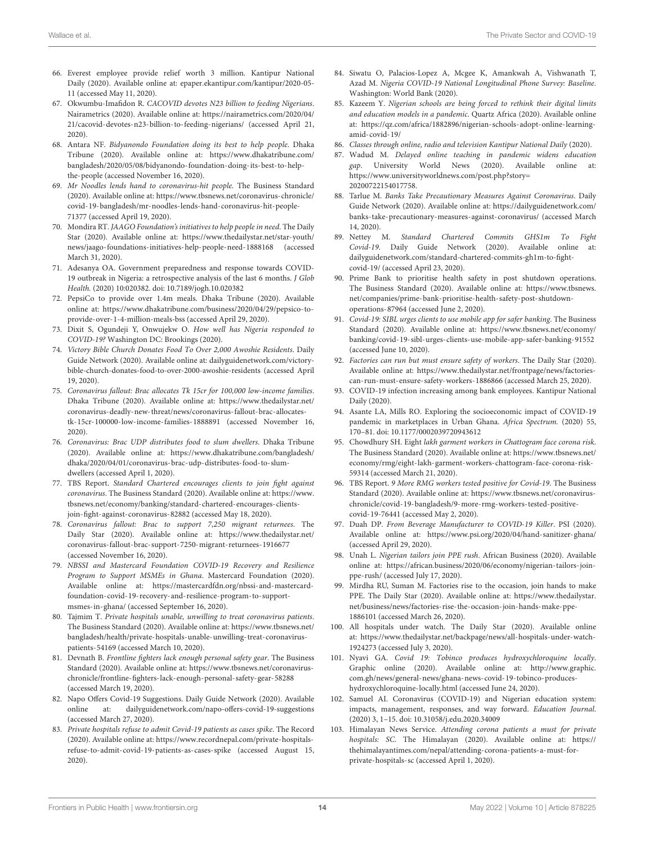- <span id="page-13-0"></span>66. Everest employee provide relief worth 3 million. Kantipur National Daily (2020). Available online at: epaper.ekantipur.com/kantipur/2020-05- 11 (accessed May 11, 2020).
- <span id="page-13-1"></span>67. Okwumbu-Imafidon R. CACOVID devotes N23 billion to feeding Nigerians. Nairametrics (2020). Available online at: [https://nairametrics.com/2020/04/](https://nairametrics.com/2020/04/21/cacovid-devotes-n23-billion-to-feeding-nigerians/) [21/cacovid-devotes-n23-billion-to-feeding-nigerians/](https://nairametrics.com/2020/04/21/cacovid-devotes-n23-billion-to-feeding-nigerians/) (accessed April 21, 2020).
- 68. Antara NF. Bidyanondo Foundation doing its best to help people. Dhaka Tribune (2020). Available online at: [https://www.dhakatribune.com/](https://www.dhakatribune.com/bangladesh/2020/05/08/bidyanondo-foundation-doing-its-best-to-help-the-people) [bangladesh/2020/05/08/bidyanondo-foundation-doing-its-best-to-help](https://www.dhakatribune.com/bangladesh/2020/05/08/bidyanondo-foundation-doing-its-best-to-help-the-people)[the-people](https://www.dhakatribune.com/bangladesh/2020/05/08/bidyanondo-foundation-doing-its-best-to-help-the-people) (accessed November 16, 2020).
- 69. Mr Noodles lends hand to coronavirus-hit people. The Business Standard (2020). Available online at: [https://www.tbsnews.net/coronavirus-chronicle/](https://www.tbsnews.net/coronavirus-chronicle/covid-19-bangladesh/mr-noodles-lends-hand-coronavirus-hit-people-71377) [covid-19-bangladesh/mr-noodles-lends-hand-coronavirus-hit-people-](https://www.tbsnews.net/coronavirus-chronicle/covid-19-bangladesh/mr-noodles-lends-hand-coronavirus-hit-people-71377)[71377](https://www.tbsnews.net/coronavirus-chronicle/covid-19-bangladesh/mr-noodles-lends-hand-coronavirus-hit-people-71377) (accessed April 19, 2020).
- 70. Mondira RT. JAAGO Foundation's initiatives to help people in need. The Daily Star (2020). Available online at: [https://www.thedailystar.net/star-youth/](https://www.thedailystar.net/star-youth/news/jaago-foundations-initiatives-help-people-need-1888168) [news/jaago-foundations-initiatives-help-people-need-1888168](https://www.thedailystar.net/star-youth/news/jaago-foundations-initiatives-help-people-need-1888168) (accessed March 31, 2020).
- 71. Adesanya OA. Government preparedness and response towards COVID-19 outbreak in Nigeria: a retrospective analysis of the last 6 months. J Glob Health. (2020) 10:020382. doi: [10.7189/jogh.10.020382](https://doi.org/10.7189/jogh.10.020382)
- 72. PepsiCo to provide over 1.4m meals. Dhaka Tribune (2020). Available online at: [https://www.dhakatribune.com/business/2020/04/29/pepsico-to](https://www.dhakatribune.com/business/2020/04/29/pepsico-to-provide-over-)[provide-over-1](https://www.dhakatribune.com/business/2020/04/29/pepsico-to-provide-over-)-4-million-meals-bss (accessed April 29, 2020).
- 73. Dixit S, Ogundeji Y, Onwujekw O. How well has Nigeria responded to COVID-19? Washington DC: Brookings (2020).
- <span id="page-13-2"></span>74. Victory Bible Church Donates Food To Over 2,000 Awoshie Residents. Daily Guide Network (2020). Available online at: dailyguidenetwork.com/victorybible-church-donates-food-to-over-2000-awoshie-residents (accessed April 19, 2020).
- <span id="page-13-3"></span>75. Coronavirus fallout: Brac allocates Tk 15cr for 100,000 low-income families. Dhaka Tribune (2020). Available online at: [https://www.thedailystar.net/](https://www.thedailystar.net/coronavirus-deadly-new-threat/news/coronavirus-fallout-brac-allocates-tk-15cr-100000-low-income-families-1888891) [coronavirus-deadly-new-threat/news/coronavirus-fallout-brac-allocates](https://www.thedailystar.net/coronavirus-deadly-new-threat/news/coronavirus-fallout-brac-allocates-tk-15cr-100000-low-income-families-1888891)[tk-15cr-100000-low-income-families-1888891](https://www.thedailystar.net/coronavirus-deadly-new-threat/news/coronavirus-fallout-brac-allocates-tk-15cr-100000-low-income-families-1888891) (accessed November 16, 2020).
- 76. Coronavirus: Brac UDP distributes food to slum dwellers. Dhaka Tribune (2020). Available online at: [https://www.dhakatribune.com/bangladesh/](https://www.dhakatribune.com/bangladesh/dhaka/2020/04/01/coronavirus-brac-udp-distributes-food-to-slum-dwellers) [dhaka/2020/04/01/coronavirus-brac-udp-distributes-food-to-slum](https://www.dhakatribune.com/bangladesh/dhaka/2020/04/01/coronavirus-brac-udp-distributes-food-to-slum-dwellers)[dwellers](https://www.dhakatribune.com/bangladesh/dhaka/2020/04/01/coronavirus-brac-udp-distributes-food-to-slum-dwellers) (accessed April 1, 2020).
- 77. TBS Report. Standard Chartered encourages clients to join fight against coronavirus. The Business Standard (2020). Available online at: [https://www.](https://www.tbsnews.net/economy/banking/standard-chartered-encourages-clients-join-fight-against-coronavirus-82882) [tbsnews.net/economy/banking/standard-chartered-encourages-clients](https://www.tbsnews.net/economy/banking/standard-chartered-encourages-clients-join-fight-against-coronavirus-82882)[join-fight-against-coronavirus-82882](https://www.tbsnews.net/economy/banking/standard-chartered-encourages-clients-join-fight-against-coronavirus-82882) (accessed May 18, 2020).
- <span id="page-13-4"></span>78. Coronavirus fallout: Brac to support 7,250 migrant returnees. The Daily Star (2020). Available online at: [https://www.thedailystar.net/](https://www.thedailystar.net/coronavirus-fallout-brac-support-7250-migrant-returnees-1916677) [coronavirus-fallout-brac-support-7250-migrant-returnees-1916677](https://www.thedailystar.net/coronavirus-fallout-brac-support-7250-migrant-returnees-1916677) (accessed November 16, 2020).
- <span id="page-13-5"></span>79. NBSSI and Mastercard Foundation COVID-19 Recovery and Resilience Program to Support MSMEs in Ghana. Mastercard Foundation (2020). Available online at: [https://mastercardfdn.org/nbssi-and-mastercard](https://mastercardfdn.org/nbssi-and-mastercard-foundation-covid-19-recovery-and-resilience-program-to-support-msmes-in-ghana/)[foundation-covid-19-recovery-and-resilience-program-to-support](https://mastercardfdn.org/nbssi-and-mastercard-foundation-covid-19-recovery-and-resilience-program-to-support-msmes-in-ghana/)[msmes-in-ghana/](https://mastercardfdn.org/nbssi-and-mastercard-foundation-covid-19-recovery-and-resilience-program-to-support-msmes-in-ghana/) (accessed September 16, 2020).
- <span id="page-13-6"></span>80. Tajmim T. Private hospitals unable, unwilling to treat coronavirus patients. The Business Standard (2020). Available online at: [https://www.tbsnews.net/](https://www.tbsnews.net/bangladesh/health/private-hospitals-unable-unwilling-treat-coronavirus-patients-54169) [bangladesh/health/private-hospitals-unable-unwilling-treat-coronavirus](https://www.tbsnews.net/bangladesh/health/private-hospitals-unable-unwilling-treat-coronavirus-patients-54169)[patients-54169](https://www.tbsnews.net/bangladesh/health/private-hospitals-unable-unwilling-treat-coronavirus-patients-54169) (accessed March 10, 2020).
- 81. Devnath B. Frontline fighters lack enough personal safety gear. The Business Standard (2020). Available online at: [https://www.tbsnews.net/coronavirus](https://www.tbsnews.net/coronavirus-chronicle/frontline-fighters-lack-enough-personal-safety-gear-58288)[chronicle/frontline-fighters-lack-enough-personal-safety-gear-58288](https://www.tbsnews.net/coronavirus-chronicle/frontline-fighters-lack-enough-personal-safety-gear-58288) (accessed March 19, 2020).
- <span id="page-13-7"></span>82. Napo Offers Covid-19 Suggestions. Daily Guide Network (2020). Available online at: dailyguidenetwork.com/napo-offers-covid-19-suggestions (accessed March 27, 2020).
- <span id="page-13-8"></span>83. Private hospitals refuse to admit Covid-19 patients as cases spike. The Record (2020). Available online at: [https://www.recordnepal.com/private-hospitals](https://www.recordnepal.com/private-hospitals-refuse-to-admit-covid-19-patients-as-cases-spike)[refuse-to-admit-covid-19-patients-as-cases-spike](https://www.recordnepal.com/private-hospitals-refuse-to-admit-covid-19-patients-as-cases-spike) (accessed August 15, 2020).
- <span id="page-13-9"></span>84. Siwatu O, Palacios-Lopez A, Mcgee K, Amankwah A, Vishwanath T, Azad M. Nigeria COVID-19 National Longitudinal Phone Survey: Baseline. Washington: World Bank (2020).
- <span id="page-13-10"></span>85. Kazeem Y. Nigerian schools are being forced to rethink their digital limits and education models in a pandemic. Quartz Africa (2020). Available online at: [https://qz.com/africa/1882896/nigerian-schools-adopt-online-learning](https://qz.com/africa/1882896/nigerian-schools-adopt-online-learning-amid-covid-19/)[amid-covid-19/](https://qz.com/africa/1882896/nigerian-schools-adopt-online-learning-amid-covid-19/)
- 86. Classes through online, radio and television Kantipur National Daily (2020).
- <span id="page-13-11"></span>87. Wadud M. Delayed online teaching in pandemic widens education gap. University World News (2020). Available online at: [https://www.universityworldnews.com/post.php?story=](https://www.universityworldnews.com/post.php?story=20200722154017758) [20200722154017758.](https://www.universityworldnews.com/post.php?story=20200722154017758)
- <span id="page-13-12"></span>88. Tarlue M. Banks Take Precautionary Measures Against Coronavirus. Daily Guide Network (2020). Available online at: [https://dailyguidenetwork.com/](https://dailyguidenetwork.com/banks-take-precautionary-measures-against-coronavirus/) [banks-take-precautionary-measures-against-coronavirus/](https://dailyguidenetwork.com/banks-take-precautionary-measures-against-coronavirus/) (accessed March 14, 2020).
- 89. Nettey M. Standard Chartered Commits GHS1m To Fight Covid-19. Daily Guide Network (2020). Available online dailyguidenetwork.com/standard-chartered-commits-gh1m-to-fightcovid-19/ (accessed April 23, 2020).
- 90. Prime Bank to prioritise health safety in post shutdown operations. The Business Standard (2020). Available online at: [https://www.tbsnews.](https://www.tbsnews.net/companies/prime-bank-prioritise-health-safety-post-shutdown-operations-87964) [net/companies/prime-bank-prioritise-health-safety-post-shutdown](https://www.tbsnews.net/companies/prime-bank-prioritise-health-safety-post-shutdown-operations-87964)[operations-87964](https://www.tbsnews.net/companies/prime-bank-prioritise-health-safety-post-shutdown-operations-87964) (accessed June 2, 2020).
- 91. Covid-19: SIBL urges clients to use mobile app for safer banking. The Business Standard (2020). Available online at: [https://www.tbsnews.net/economy/](https://www.tbsnews.net/economy/banking/covid-19-sibl-urges-clients-use-mobile-app-safer-banking-91552) [banking/covid-19-sibl-urges-clients-use-mobile-app-safer-banking-91552](https://www.tbsnews.net/economy/banking/covid-19-sibl-urges-clients-use-mobile-app-safer-banking-91552) (accessed June 10, 2020).
- 92. Factories can run but must ensure safety of workers. The Daily Star (2020). Available online at: [https://www.thedailystar.net/frontpage/news/factories](https://www.thedailystar.net/frontpage/news/factories-can-run-must-ensure-safety-workers-1886866)[can-run-must-ensure-safety-workers-1886866](https://www.thedailystar.net/frontpage/news/factories-can-run-must-ensure-safety-workers-1886866) (accessed March 25, 2020).
- <span id="page-13-13"></span>93. COVID-19 infection increasing among bank employees. Kantipur National Daily (2020).
- <span id="page-13-14"></span>94. Asante LA, Mills RO. Exploring the socioeconomic impact of COVID-19 pandemic in marketplaces in Urban Ghana. Africa Spectrum. (2020) 55, 170–81. doi: [10.1177/0002039720943612](https://doi.org/10.1177/0002039720943612)
- <span id="page-13-15"></span>95. Chowdhury SH. Eight lakh garment workers in Chattogram face corona risk. The Business Standard (2020). Available online at: [https://www.tbsnews.net/](https://www.tbsnews.net/economy/rmg/eight-lakh-garment-workers-chattogram-face-corona-risk-59314) [economy/rmg/eight-lakh-garment-workers-chattogram-face-corona-risk-](https://www.tbsnews.net/economy/rmg/eight-lakh-garment-workers-chattogram-face-corona-risk-59314)[59314](https://www.tbsnews.net/economy/rmg/eight-lakh-garment-workers-chattogram-face-corona-risk-59314) (accessed March 21, 2020).
- <span id="page-13-16"></span>96. TBS Report. 9 More RMG workers tested positive for Covid-19. The Business Standard (2020). Available online at: [https://www.tbsnews.net/coronavirus](https://www.tbsnews.net/coronavirus-chronicle/covid-19-bangladesh/9-more-rmg-workers-tested-positive-covid-1)[chronicle/covid-19-bangladesh/9-more-rmg-workers-tested-positive](https://www.tbsnews.net/coronavirus-chronicle/covid-19-bangladesh/9-more-rmg-workers-tested-positive-covid-1)[covid-19](https://www.tbsnews.net/coronavirus-chronicle/covid-19-bangladesh/9-more-rmg-workers-tested-positive-covid-1)-76441 (accessed May 2, 2020).
- <span id="page-13-17"></span>97. Duah DP. From Beverage Manufacturer to COVID-19 Killer. PSI (2020). Available online at:<https://www.psi.org/2020/04/hand-sanitizer-ghana/> (accessed April 29, 2020).
- 98. Unah L. Nigerian tailors join PPE rush. African Business (2020). Available online at: [https://african.business/2020/06/economy/nigerian-tailors-join](https://african.business/2020/06/economy/nigerian-tailors-join-ppe-rush/)[ppe-rush/](https://african.business/2020/06/economy/nigerian-tailors-join-ppe-rush/) (accessed July 17, 2020).
- 99. Mirdha RU, Suman M. Factories rise to the occasion, join hands to make PPE. The Daily Star (2020). Available online at: [https://www.thedailystar.](https://www.thedailystar.net/business/news/factories-rise-the-occasion-join-hands-make-ppe-1886101) [net/business/news/factories-rise-the-occasion-join-hands-make-ppe-](https://www.thedailystar.net/business/news/factories-rise-the-occasion-join-hands-make-ppe-1886101)[1886101](https://www.thedailystar.net/business/news/factories-rise-the-occasion-join-hands-make-ppe-1886101) (accessed March 26, 2020).
- <span id="page-13-21"></span>100. All hospitals under watch. The Daily Star (2020). Available online at: [https://www.thedailystar.net/backpage/news/all-hospitals-under-watch-](https://www.thedailystar.net/backpage/news/all-hospitals-under-watch-1924273)[1924273](https://www.thedailystar.net/backpage/news/all-hospitals-under-watch-1924273) (accessed July 3, 2020).
- <span id="page-13-18"></span>101. Nyavi GA. Covid 19: Tobinco produces hydroxychloroquine locally. Graphic online (2020). Available online at: [http://www.graphic.](http://www.graphic.com.gh/news/general-news/ghana-news-covid-19-tobinco-produces-hydroxychloroquine-locally.html) [com.gh/news/general-news/ghana-news-covid-19-tobinco-produces](http://www.graphic.com.gh/news/general-news/ghana-news-covid-19-tobinco-produces-hydroxychloroquine-locally.html)[hydroxychloroquine-locally.html](http://www.graphic.com.gh/news/general-news/ghana-news-covid-19-tobinco-produces-hydroxychloroquine-locally.html) (accessed June 24, 2020).
- <span id="page-13-19"></span>102. Samuel AI. Coronavirus (COVID-19) and Nigerian education system: impacts, management, responses, and way forward. Education Journal. (2020) 3, 1–15. doi: [10.31058/j.edu.2020.34009](https://doi.org/10.31058/j.edu.2020.34009)
- <span id="page-13-20"></span>103. Himalayan News Service. Attending corona patients a must for private hospitals: SC. The Himalayan (2020). Available online at: [https://](https://thehimalayantimes.com/nepal/attending-corona-patients-a-must-for-private-hospitals-sc) [thehimalayantimes.com/nepal/attending-corona-patients-a-must-for](https://thehimalayantimes.com/nepal/attending-corona-patients-a-must-for-private-hospitals-sc)[private-hospitals-sc](https://thehimalayantimes.com/nepal/attending-corona-patients-a-must-for-private-hospitals-sc) (accessed April 1, 2020).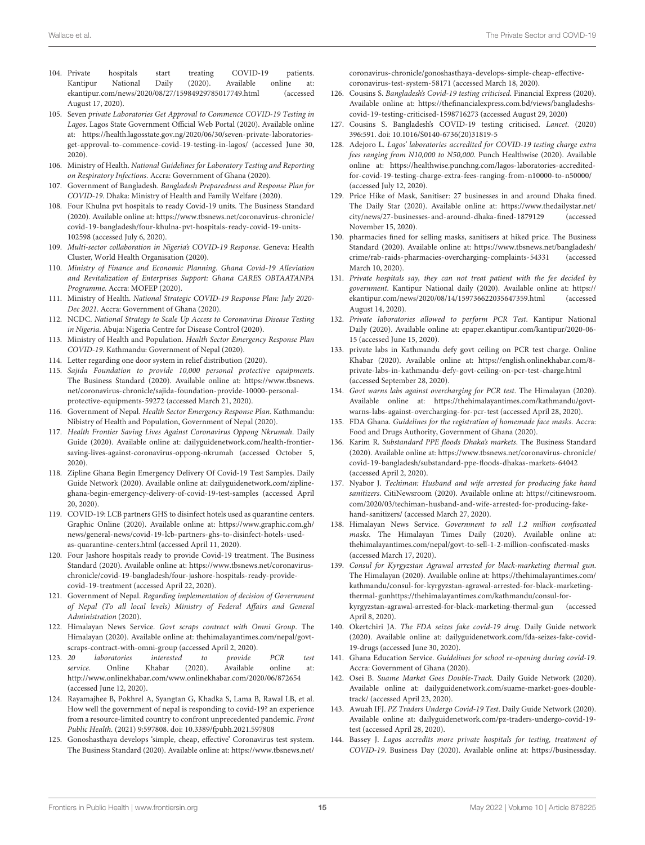- <span id="page-14-13"></span>104. Private hospitals start treating COVID-19 patients. Kantipur National Daily (2020). Available online at: ekantipur.com/news/2020/08/27/15984929785017749.html (accessed August 17, 2020).
- 105. Seven private Laboratories Get Approval to Commence COVID-19 Testing in Lagos. Lagos State Government Official Web Portal (2020). Available online at: [https://health.lagosstate.gov.ng/2020/06/30/seven-private-laboratories](https://health.lagosstate.gov.ng/2020/06/30/seven-private-laboratories-get-approval-to-commence-covid-19-testing-in-lagos/)[get-approval-to-commence-covid-19-testing-in-lagos/](https://health.lagosstate.gov.ng/2020/06/30/seven-private-laboratories-get-approval-to-commence-covid-19-testing-in-lagos/) (accessed June 30, 2020).
- <span id="page-14-38"></span>106. Ministry of Health. National Guidelines for Laboratory Testing and Reporting on Respiratory Infections. Accra: Government of Ghana (2020).
- <span id="page-14-4"></span>107. Government of Bangladesh. Bangladesh Preparedness and Response Plan for COVID-19. Dhaka: Ministry of Health and Family Welfare (2020).
- <span id="page-14-5"></span>108. Four Khulna pvt hospitals to ready Covid-19 units. The Business Standard (2020). Available online at: [https://www.tbsnews.net/coronavirus-chronicle/](https://www.tbsnews.net/coronavirus-chronicle/covid-19-bangladesh/four-khulna-pvt-hospitals-ready-covid-19-units-102598) [covid-19-bangladesh/four-khulna-pvt-hospitals-ready-covid-19-units-](https://www.tbsnews.net/coronavirus-chronicle/covid-19-bangladesh/four-khulna-pvt-hospitals-ready-covid-19-units-102598)[102598](https://www.tbsnews.net/coronavirus-chronicle/covid-19-bangladesh/four-khulna-pvt-hospitals-ready-covid-19-units-102598) (accessed July 6, 2020).
- <span id="page-14-0"></span>109. Multi-sector collaboration in Nigeria's COVID-19 Response. Geneva: Health Cluster, World Health Organisation (2020).
- <span id="page-14-1"></span>110. Ministry of Finance and Economic Planning. Ghana Covid-19 Alleviation and Revitalization of Enterprises Support: Ghana CARES OBTAATANPA Programme. Accra: MOFEP (2020).
- <span id="page-14-2"></span>111. Ministry of Health. National Strategic COVID-19 Response Plan: July 2020- Dec 2021. Accra: Government of Ghana (2020).
- <span id="page-14-3"></span>112. NCDC. National Strategy to Scale Up Access to Coronavirus Disease Testing in Nigeria. Abuja: Nigeria Centre for Disease Control (2020).
- <span id="page-14-6"></span>113. Ministry of Health and Population. Health Sector Emergency Response Plan COVID-19. Kathmandu: Government of Nepal (2020).
- <span id="page-14-7"></span>114. Letter regarding one door system in relief distribution (2020).
- <span id="page-14-8"></span>115. Sajida Foundation to provide 10,000 personal protective equipments. The Business Standard (2020). Available online at: [https://www.tbsnews.](https://www.tbsnews.net/coronavirus-chronicle/sajida-foundation-provide-10000-personal-protective-equipments-59272) [net/coronavirus-chronicle/sajida-foundation-provide-10000-personal](https://www.tbsnews.net/coronavirus-chronicle/sajida-foundation-provide-10000-personal-protective-equipments-59272)[protective-equipments-59272](https://www.tbsnews.net/coronavirus-chronicle/sajida-foundation-provide-10000-personal-protective-equipments-59272) (accessed March 21, 2020).
- <span id="page-14-9"></span>116. Government of Nepal. Health Sector Emergency Response Plan. Kathmandu: Nibistry of Health and Population, Government of Nepal (2020).
- <span id="page-14-10"></span>117. Health Frontier Saving Lives Against Coronavirus Oppong Nkrumah. Daily Guide (2020). Available online at: dailyguidenetwork.com/health-frontiersaving-lives-against-coronavirus-oppong-nkrumah (accessed October 5, 2020).
- <span id="page-14-11"></span>118. Zipline Ghana Begin Emergency Delivery Of Covid-19 Test Samples. Daily Guide Network (2020). Available online at: dailyguidenetwork.com/ziplineghana-begin-emergency-delivery-of-covid-19-test-samples (accessed April 20, 2020).
- <span id="page-14-12"></span>119. COVID-19: LCB partners GHS to disinfect hotels used as quarantine centers. Graphic Online (2020). Available online at: [https://www.graphic.com.gh/](https://www.graphic.com.gh/news/general-news/covid-19-lcb-partners-ghs-to-disinfect-hotels-used-as-quarantine-centers.html) [news/general-news/covid-19-lcb-partners-ghs-to-disinfect-hotels-used](https://www.graphic.com.gh/news/general-news/covid-19-lcb-partners-ghs-to-disinfect-hotels-used-as-quarantine-centers.html)[as-quarantine-centers.html](https://www.graphic.com.gh/news/general-news/covid-19-lcb-partners-ghs-to-disinfect-hotels-used-as-quarantine-centers.html) (accessed April 11, 2020).
- <span id="page-14-14"></span>120. Four Jashore hospitals ready to provide Covid-19 treatment. The Business Standard (2020). Available online at: [https://www.tbsnews.net/coronavirus](https://www.tbsnews.net/coronavirus-chronicle/covid-19-bangladesh/four-jashore-hospitals-ready-provide-covid-19-treatment)[chronicle/covid-19-bangladesh/four-jashore-hospitals-ready-provide](https://www.tbsnews.net/coronavirus-chronicle/covid-19-bangladesh/four-jashore-hospitals-ready-provide-covid-19-treatment)[covid-19-treatment](https://www.tbsnews.net/coronavirus-chronicle/covid-19-bangladesh/four-jashore-hospitals-ready-provide-covid-19-treatment) (accessed April 22, 2020).
- <span id="page-14-15"></span>121. Government of Nepal. Regarding implementation of decision of Government of Nepal (To all local levels) Ministry of Federal Affairs and General Administration (2020).
- <span id="page-14-16"></span>122. Himalayan News Service. Govt scraps contract with Omni Group. The Himalayan (2020). Available online at: thehimalayantimes.com/nepal/govtscraps-contract-with-omni-group (accessed April 2, 2020).
- <span id="page-14-17"></span>123. 20 laboratories interested to provide PCR test service. Online Khabar (2020). Available online at: http://www.onlinekhabar.com/www.onlinekhabar.com/2020/06/872654 (accessed June 12, 2020).
- <span id="page-14-18"></span>124. Rayamajhee B, Pokhrel A, Syangtan G, Khadka S, Lama B, Rawal LB, et al. How well the government of nepal is responding to covid-19? an experience from a resource-limited country to confront unprecedented pandemic. Front Public Health. (2021) 9:597808. doi: [10.3389/fpubh.2021.597808](https://doi.org/10.3389/fpubh.2021.597808)
- <span id="page-14-19"></span>125. Gonoshasthaya develops 'simple, cheap, effective' Coronavirus test system. The Business Standard (2020). Available online at: [https://www.tbsnews.net/](https://www.tbsnews.net/coronavirus-chronicle/gonoshasthaya-develops-simple-cheap-effective-coronavirus-test-system-58171)

[coronavirus-chronicle/gonoshasthaya-develops-simple-cheap-effective](https://www.tbsnews.net/coronavirus-chronicle/gonoshasthaya-develops-simple-cheap-effective-coronavirus-test-system-58171)[coronavirus-test-system-58171](https://www.tbsnews.net/coronavirus-chronicle/gonoshasthaya-develops-simple-cheap-effective-coronavirus-test-system-58171) (accessed March 18, 2020).

- <span id="page-14-20"></span>126. Cousins S. Bangladesh's Covid-19 testing criticised. Financial Express (2020). Available online at: [https://thefinancialexpress.com.bd/views/bangladeshs](https://thefinancialexpress.com.bd/views/bangladeshs-covid-19-testing-criticised-1598716273)[covid-19-testing-criticised-1598716273](https://thefinancialexpress.com.bd/views/bangladeshs-covid-19-testing-criticised-1598716273) (accessed August 29, 2020)
- 127. Cousins S. Bangladesh's COVID-19 testing criticised. Lancet. (2020) 396:591. doi: [10.1016/S0140-6736\(20\)31819-5](https://doi.org/10.1016/S0140-6736(20)31819-5)
- <span id="page-14-21"></span>128. Adejoro L. Lagos' laboratories accredited for COVID-19 testing charge extra fees ranging from N10,000 to N50,000. Punch Healthwise (2020). Available online at: [https://healthwise.punchng.com/lagos-laboratories-accredited](https://healthwise.punchng.com/lagos-laboratories-accredited-for-covid-19-testing-charge-extra-fees-ranging-from-n10000-to-n50000/)[for-covid-19-testing-charge-extra-fees-ranging-from-n10000-to-n50000/](https://healthwise.punchng.com/lagos-laboratories-accredited-for-covid-19-testing-charge-extra-fees-ranging-from-n10000-to-n50000/) (accessed July 12, 2020).
- <span id="page-14-22"></span>129. Price Hike of Mask, Sanitiser: 27 businesses in and around Dhaka fined. The Daily Star (2020). Available online at: [https://www.thedailystar.net/](https://www.thedailystar.net/city/news/27-businesses-and-around-dhaka-fined-1879129) [city/news/27-businesses-and-around-dhaka-fined-1879129](https://www.thedailystar.net/city/news/27-businesses-and-around-dhaka-fined-1879129) (accessed November 15, 2020).
- <span id="page-14-23"></span>130. pharmacies fined for selling masks, sanitisers at hiked price. The Business Standard (2020). Available online at: [https://www.tbsnews.net/bangladesh/](https://www.tbsnews.net/bangladesh/crime/rab-raids-pharmacies-overcharging-complaints-54331) [crime/rab-raids-pharmacies-overcharging-complaints-54331](https://www.tbsnews.net/bangladesh/crime/rab-raids-pharmacies-overcharging-complaints-54331) (accessed March 10, 2020).
- <span id="page-14-24"></span>131. Private hospitals say, they can not treat patient with the fee decided by government. Kantipur National daily (2020). Available online at: [https://](https://ekantipur.com/news/2020/08/14/159736622035647359.html) [ekantipur.com/news/2020/08/14/159736622035647359.html](https://ekantipur.com/news/2020/08/14/159736622035647359.html) (accessed August 14, 2020).
- <span id="page-14-25"></span>132. Private laboratories allowed to perform PCR Test. Kantipur National Daily (2020). Available online at: epaper.ekantipur.com/kantipur/2020-06- 15 (accessed June 15, 2020).
- <span id="page-14-26"></span>133. private labs in Kathmandu defy govt ceiling on PCR test charge. Online Khabar (2020). Available online at: [https://english.onlinekhabar.com/8](https://english.onlinekhabar.com/8-private-labs-in-kathmandu-defy-govt-ceiling-on-pcr-test-charge.html) [private-labs-in-kathmandu-defy-govt-ceiling-on-pcr-test-charge.html](https://english.onlinekhabar.com/8-private-labs-in-kathmandu-defy-govt-ceiling-on-pcr-test-charge.html) (accessed September 28, 2020).
- <span id="page-14-27"></span>134. Govt warns labs against overcharging for PCR test. The Himalayan (2020). Available online at: [https://thehimalayantimes.com/kathmandu/govt](https://thehimalayantimes.com/kathmandu/govt-warns-labs-against-overcharging-for-pcr-test)[warns-labs-against-overcharging-for-pcr-test](https://thehimalayantimes.com/kathmandu/govt-warns-labs-against-overcharging-for-pcr-test) (accessed April 28, 2020).
- <span id="page-14-28"></span>135. FDA Ghana. Guidelines for the registration of homemade face masks. Accra: Food and Drugs Authority, Government of Ghana (2020).
- <span id="page-14-29"></span>136. Karim R. Substandard PPE floods Dhaka's markets. The Business Standard (2020). Available online at: [https://www.tbsnews.net/coronavirus-chronicle/](https://www.tbsnews.net/coronavirus-chronicle/covid-19-bangladesh/substandard-ppe-floods-dhakas-markets-64042) [covid-19-bangladesh/substandard-ppe-floods-dhakas-markets-64042](https://www.tbsnews.net/coronavirus-chronicle/covid-19-bangladesh/substandard-ppe-floods-dhakas-markets-64042) (accessed April 2, 2020).
- <span id="page-14-30"></span>137. Nyabor J. Techiman: Husband and wife arrested for producing fake hand sanitizers. CitiNewsroom (2020). Available online at: [https://citinewsroom.](https://citinewsroom.com/2020/03/techiman-husband-and-wife-arrested-for-producing-fake-hand-sanitizers/) [com/2020/03/techiman-husband-and-wife-arrested-for-producing-fake](https://citinewsroom.com/2020/03/techiman-husband-and-wife-arrested-for-producing-fake-hand-sanitizers/)[hand-sanitizers/](https://citinewsroom.com/2020/03/techiman-husband-and-wife-arrested-for-producing-fake-hand-sanitizers/) (accessed March 27, 2020).
- <span id="page-14-31"></span>138. Himalayan News Service. Government to sell 1.2 million confiscated masks. The Himalayan Times Daily (2020). Available online at: thehimalayantimes.com/nepal/govt-to-sell-1-2-million-confiscated-masks (accessed March 17, 2020).
- <span id="page-14-32"></span>139. Consul for Kyrgyzstan Agrawal arrested for black-marketing thermal gun. The Himalayan (2020). Available online at: [https://thehimalayantimes.com/](https://thehimalayantimes.com/kathmandu/consul-for-kyrgyzstan-agrawal-arrested-for-black-marketing-thermal-gun) [kathmandu/consul-for-kyrgyzstan-agrawal-arrested-for-black-marketing](https://thehimalayantimes.com/kathmandu/consul-for-kyrgyzstan-agrawal-arrested-for-black-marketing-thermal-gun)[thermal-gunh](https://thehimalayantimes.com/kathmandu/consul-for-kyrgyzstan-agrawal-arrested-for-black-marketing-thermal-gun)ttps://thehimalayantimes.com/kathmandu/consul-forkyrgyzstan-agrawal-arrested-for-black-marketing-thermal-gun (accessed April 8, 2020).
- <span id="page-14-33"></span>140. Okertchiri JA. The FDA seizes fake covid-19 drug. Daily Guide network (2020). Available online at: dailyguidenetwork.com/fda-seizes-fake-covid-19-drugs (accessed June 30, 2020).
- <span id="page-14-34"></span>141. Ghana Education Service. Guidelines for school re-opening during covid-19. Accra: Government of Ghana (2020).
- <span id="page-14-35"></span>142. Osei B. Suame Market Goes Double-Track. Daily Guide Network (2020). Available online at: dailyguidenetwork.com/suame-market-goes-doubletrack/ (accessed April 23, 2020).
- <span id="page-14-36"></span>143. Awuah IFJ. PZ Traders Undergo Covid-19 Test. Daily Guide Network (2020). Available online at: dailyguidenetwork.com/pz-traders-undergo-covid-19 test (accessed April 28, 2020).
- <span id="page-14-37"></span>144. Bassey J. Lagos accredits more private hospitals for testing, treatment of COVID-19. Business Day (2020). Available online at: [https://businessday.](https://businessday.ng/coronavirus/article/lagos-accredits-more-private-hospitals-for-testing-treatment-of-covid-19/)